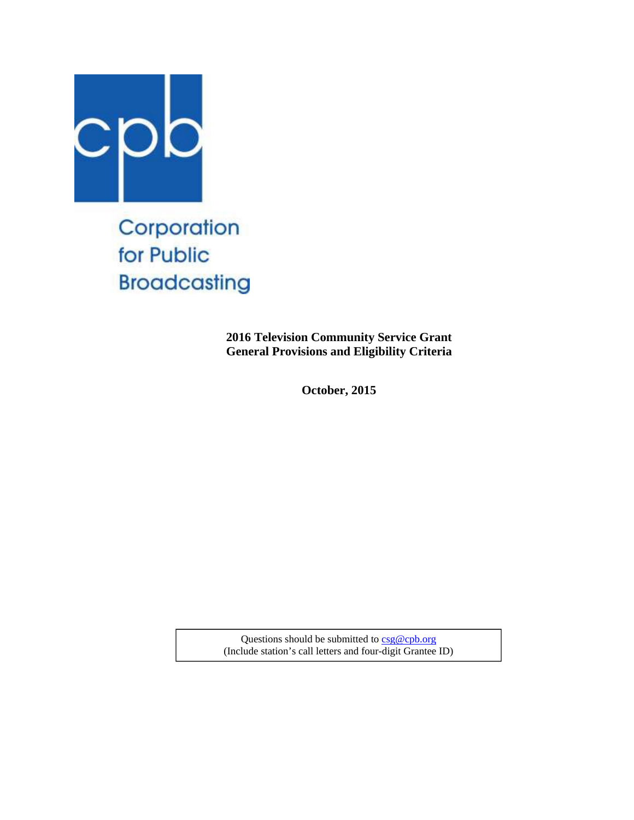

Corporation for Public **Broadcasting** 

> **2016 Television Community Service Grant General Provisions and Eligibility Criteria**

> > **October, 2015**

Questions should be submitted to csg@cpb.org (Include station's call letters and four-digit Grantee ID)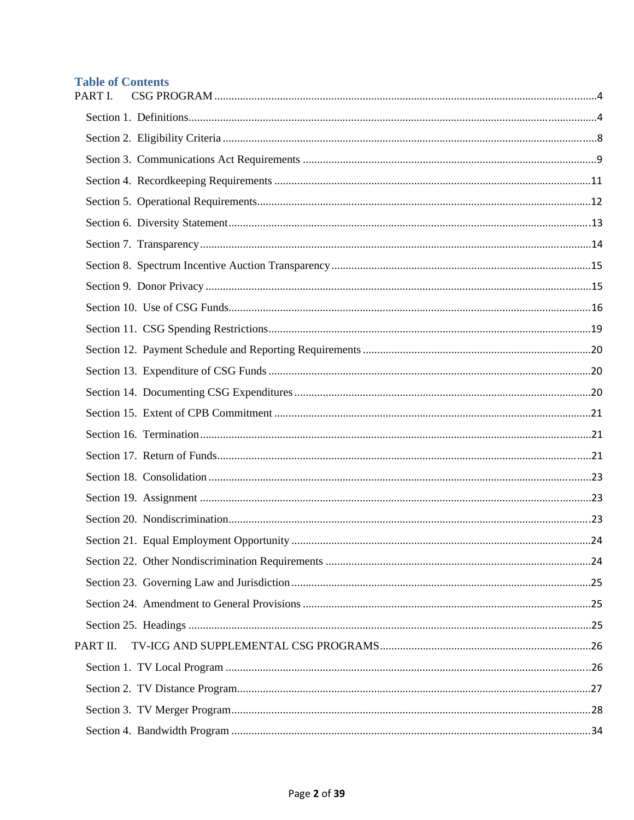# **Table of Contents**

| PART I.  |  |
|----------|--|
|          |  |
|          |  |
|          |  |
|          |  |
|          |  |
|          |  |
|          |  |
|          |  |
|          |  |
|          |  |
|          |  |
|          |  |
|          |  |
|          |  |
|          |  |
|          |  |
|          |  |
|          |  |
|          |  |
|          |  |
|          |  |
|          |  |
|          |  |
|          |  |
|          |  |
| PART II. |  |
|          |  |
|          |  |
|          |  |
|          |  |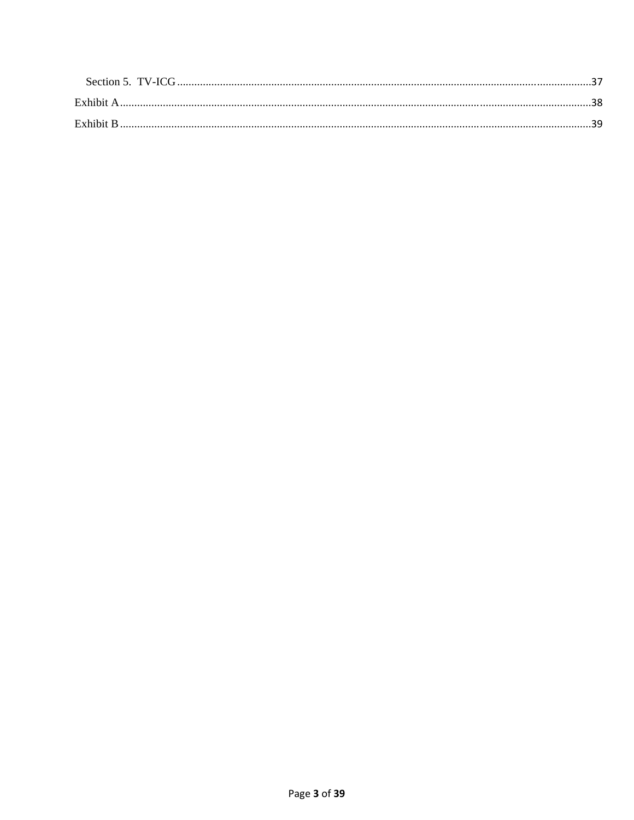| Exhibit A |  |
|-----------|--|
| Exhibit B |  |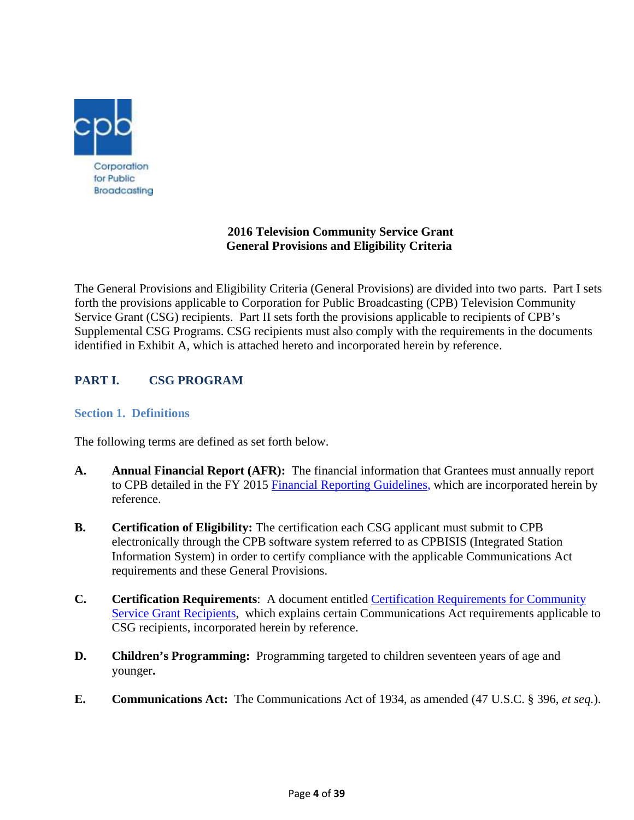

# **2016 Television Community Service Grant General Provisions and Eligibility Criteria**

The General Provisions and Eligibility Criteria (General Provisions) are divided into two parts. Part I sets forth the provisions applicable to Corporation for Public Broadcasting (CPB) Television Community Service Grant (CSG) recipients. Part II sets forth the provisions applicable to recipients of CPB's Supplemental CSG Programs. CSG recipients must also comply with the requirements in the documents identified in Exhibit A, which is attached hereto and incorporated herein by reference.

# **PART I. CSG PROGRAM**

# **Section 1. Definitions**

The following terms are defined as set forth below.

- **A. Annual Financial Report (AFR):** The financial information that Grantees must annually report to CPB detailed in the FY 2015 Financial Reporting Guidelines, which are incorporated herein by reference.
- **B. Certification of Eligibility:** The certification each CSG applicant must submit to CPB electronically through the CPB software system referred to as CPBISIS (Integrated Station Information System) in order to certify compliance with the applicable Communications Act requirements and these General Provisions.
- **C. Certification Requirements**: A document entitled Certification Requirements for Community Service Grant Recipients, which explains certain Communications Act requirements applicable to CSG recipients, incorporated herein by reference.
- **D. Children's Programming:** Programming targeted to children seventeen years of age and younger**.**
- **E. Communications Act:** The Communications Act of 1934, as amended (47 U.S.C. § 396, *et seq.*).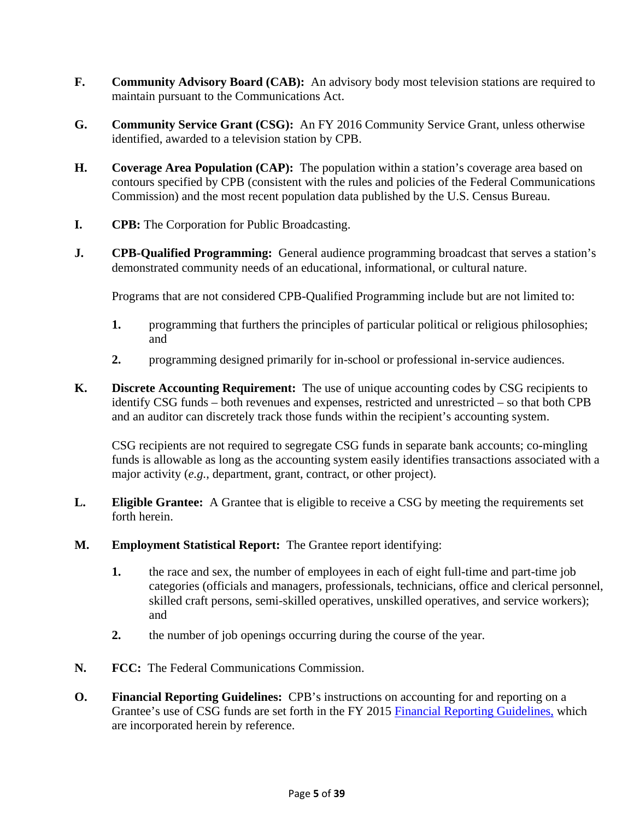- **F. Community Advisory Board (CAB):** An advisory body most television stations are required to maintain pursuant to the Communications Act.
- **G. Community Service Grant (CSG):** An FY 2016 Community Service Grant, unless otherwise identified, awarded to a television station by CPB.
- **H. Coverage Area Population (CAP):** The population within a station's coverage area based on contours specified by CPB (consistent with the rules and policies of the Federal Communications Commission) and the most recent population data published by the U.S. Census Bureau.
- **I. CPB:** The Corporation for Public Broadcasting.
- **J. CPB-Qualified Programming:** General audience programming broadcast that serves a station's demonstrated community needs of an educational, informational, or cultural nature.

Programs that are not considered CPB-Qualified Programming include but are not limited to:

- **1.** programming that furthers the principles of particular political or religious philosophies; and
- **2.** programming designed primarily for in-school or professional in-service audiences.
- **K. Discrete Accounting Requirement:** The use of unique accounting codes by CSG recipients to identify CSG funds – both revenues and expenses, restricted and unrestricted – so that both CPB and an auditor can discretely track those funds within the recipient's accounting system.

CSG recipients are not required to segregate CSG funds in separate bank accounts; co-mingling funds is allowable as long as the accounting system easily identifies transactions associated with a major activity (*e.g.*, department, grant, contract, or other project).

- **L. Eligible Grantee:** A Grantee that is eligible to receive a CSG by meeting the requirements set forth herein.
- **M. Employment Statistical Report:** The Grantee report identifying:
	- **1.** the race and sex, the number of employees in each of eight full-time and part-time job categories (officials and managers, professionals, technicians, office and clerical personnel, skilled craft persons, semi-skilled operatives, unskilled operatives, and service workers); and
	- **2.** the number of job openings occurring during the course of the year.
- **N. FCC:** The Federal Communications Commission.
- **O. Financial Reporting Guidelines:** CPB's instructions on accounting for and reporting on a Grantee's use of CSG funds are set forth in the FY 2015 Financial Reporting Guidelines, which are incorporated herein by reference.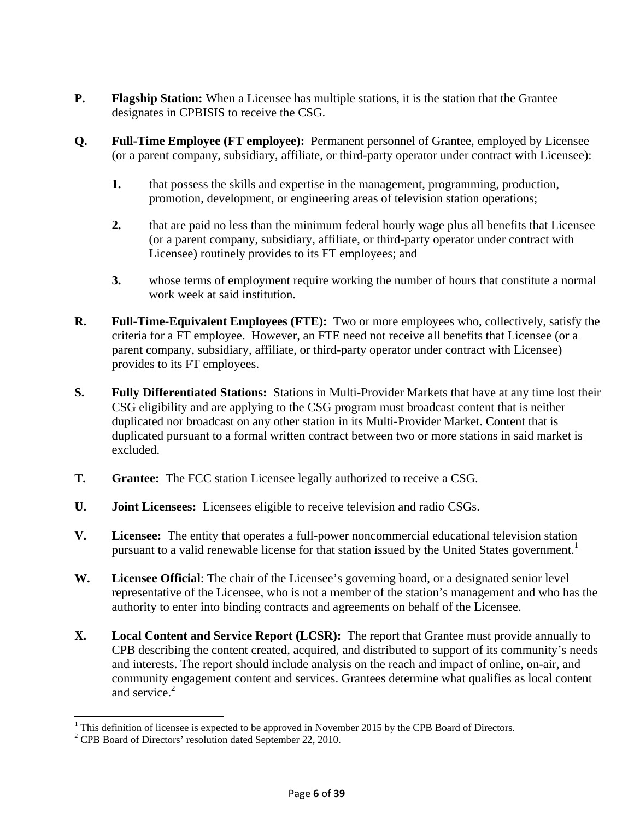- **P. Flagship Station:** When a Licensee has multiple stations, it is the station that the Grantee designates in CPBISIS to receive the CSG.
- **Q. Full-Time Employee (FT employee):** Permanent personnel of Grantee, employed by Licensee (or a parent company, subsidiary, affiliate, or third-party operator under contract with Licensee):
	- **1.** that possess the skills and expertise in the management, programming, production, promotion, development, or engineering areas of television station operations;
	- **2.** that are paid no less than the minimum federal hourly wage plus all benefits that Licensee (or a parent company, subsidiary, affiliate, or third-party operator under contract with Licensee) routinely provides to its FT employees; and
	- **3.** whose terms of employment require working the number of hours that constitute a normal work week at said institution.
- **R. Full-Time-Equivalent Employees (FTE):** Two or more employees who, collectively, satisfy the criteria for a FT employee. However, an FTE need not receive all benefits that Licensee (or a parent company, subsidiary, affiliate, or third-party operator under contract with Licensee) provides to its FT employees.
- **S. Fully Differentiated Stations:** Stations in Multi-Provider Markets that have at any time lost their CSG eligibility and are applying to the CSG program must broadcast content that is neither duplicated nor broadcast on any other station in its Multi-Provider Market. Content that is duplicated pursuant to a formal written contract between two or more stations in said market is excluded.
- **T. Grantee:** The FCC station Licensee legally authorized to receive a CSG.
- **U. Joint Licensees:** Licensees eligible to receive television and radio CSGs.
- **V. Licensee:** The entity that operates a full-power noncommercial educational television station pursuant to a valid renewable license for that station issued by the United States government.<sup>1</sup>
- **W. Licensee Official**: The chair of the Licensee's governing board, or a designated senior level representative of the Licensee, who is not a member of the station's management and who has the authority to enter into binding contracts and agreements on behalf of the Licensee.
- **X. Local Content and Service Report (LCSR):** The report that Grantee must provide annually to CPB describing the content created, acquired, and distributed to support of its community's needs and interests. The report should include analysis on the reach and impact of online, on-air, and community engagement content and services. Grantees determine what qualifies as local content and service.<sup>2</sup>

 $\overline{a}$ 

<sup>&</sup>lt;sup>1</sup> This definition of licensee is expected to be approved in November 2015 by the CPB Board of Directors.<br><sup>2</sup> CPB Board of Directors' resolution dated Sontamber 22, 2010.

<sup>&</sup>lt;sup>2</sup> CPB Board of Directors' resolution dated September 22, 2010.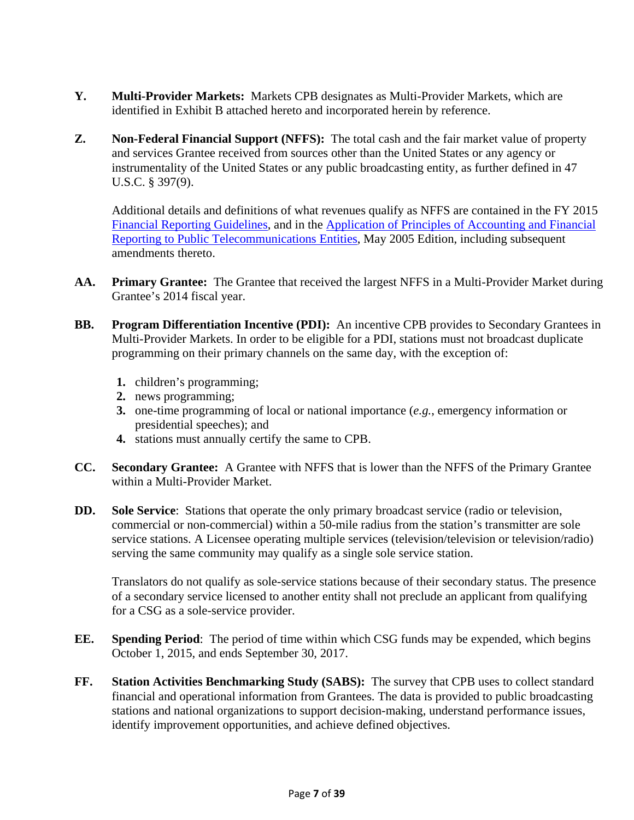- **Y. Multi-Provider Markets:** Markets CPB designates as Multi-Provider Markets, which are identified in Exhibit B attached hereto and incorporated herein by reference.
- **Z. Non-Federal Financial Support (NFFS):** The total cash and the fair market value of property and services Grantee received from sources other than the United States or any agency or instrumentality of the United States or any public broadcasting entity, as further defined in 47 U.S.C. § 397(9).

Additional details and definitions of what revenues qualify as NFFS are contained in the FY 2015 Financial Reporting Guidelines, and in the Application of Principles of Accounting and Financial Reporting to Public Telecommunications Entities, May 2005 Edition, including subsequent amendments thereto.

- **AA. Primary Grantee:** The Grantee that received the largest NFFS in a Multi-Provider Market during Grantee's 2014 fiscal year.
- **BB. Program Differentiation Incentive (PDI):** An incentive CPB provides to Secondary Grantees in Multi-Provider Markets. In order to be eligible for a PDI, stations must not broadcast duplicate programming on their primary channels on the same day, with the exception of:
	- **1.** children's programming;
	- **2.** news programming;
	- **3.** one-time programming of local or national importance (*e.g.*, emergency information or presidential speeches); and
	- **4.** stations must annually certify the same to CPB.
- **CC. Secondary Grantee:** A Grantee with NFFS that is lower than the NFFS of the Primary Grantee within a Multi-Provider Market.
- **DD. Sole Service**: Stations that operate the only primary broadcast service (radio or television, commercial or non-commercial) within a 50-mile radius from the station's transmitter are sole service stations. A Licensee operating multiple services (television/television or television/radio) serving the same community may qualify as a single sole service station.

Translators do not qualify as sole-service stations because of their secondary status. The presence of a secondary service licensed to another entity shall not preclude an applicant from qualifying for a CSG as a sole-service provider.

- **EE. Spending Period**: The period of time within which CSG funds may be expended, which begins October 1, 2015, and ends September 30, 2017.
- **FF. Station Activities Benchmarking Study (SABS):** The survey that CPB uses to collect standard financial and operational information from Grantees. The data is provided to public broadcasting stations and national organizations to support decision-making, understand performance issues, identify improvement opportunities, and achieve defined objectives.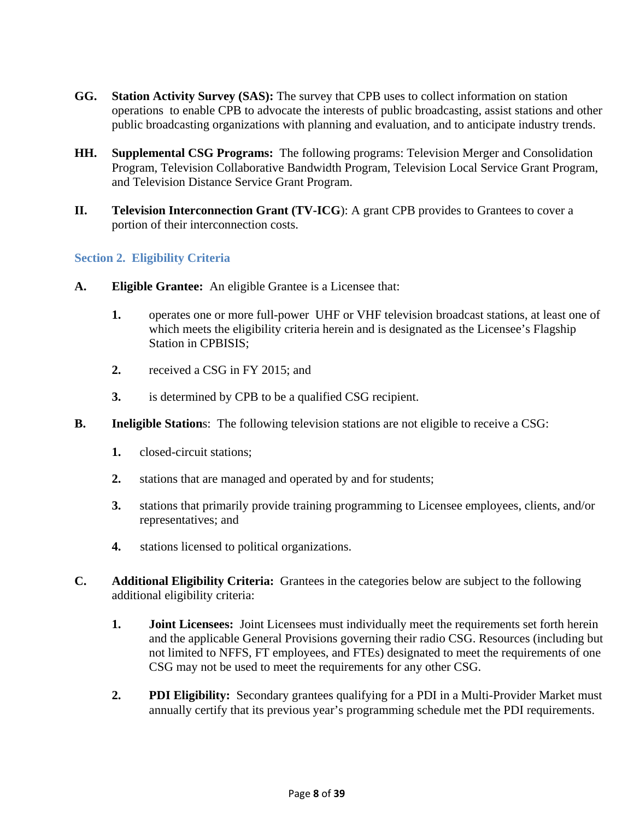- **GG. Station Activity Survey (SAS):** The survey that CPB uses to collect information on station operations to enable CPB to advocate the interests of public broadcasting, assist stations and other public broadcasting organizations with planning and evaluation, and to anticipate industry trends.
- **HH. Supplemental CSG Programs:** The following programs: Television Merger and Consolidation Program, Television Collaborative Bandwidth Program, Television Local Service Grant Program, and Television Distance Service Grant Program.
- **II. Television Interconnection Grant (TV-ICG**): A grant CPB provides to Grantees to cover a portion of their interconnection costs.

### **Section 2. Eligibility Criteria**

- **A. Eligible Grantee:** An eligible Grantee is a Licensee that:
	- **1.** operates one or more full-power UHF or VHF television broadcast stations, at least one of which meets the eligibility criteria herein and is designated as the Licensee's Flagship Station in CPBISIS;
	- **2.** received a CSG in FY 2015; and
	- **3.** is determined by CPB to be a qualified CSG recipient.
- **B.** Ineligible Stations: The following television stations are not eligible to receive a CSG:
	- **1.** closed-circuit stations;
	- **2.** stations that are managed and operated by and for students;
	- **3.** stations that primarily provide training programming to Licensee employees, clients, and/or representatives; and
	- **4.** stations licensed to political organizations.
- **C. Additional Eligibility Criteria:** Grantees in the categories below are subject to the following additional eligibility criteria:
	- **1. Joint Licensees:** Joint Licensees must individually meet the requirements set forth herein and the applicable General Provisions governing their radio CSG. Resources (including but not limited to NFFS, FT employees, and FTEs) designated to meet the requirements of one CSG may not be used to meet the requirements for any other CSG.
	- **2. PDI Eligibility:** Secondary grantees qualifying for a PDI in a Multi-Provider Market must annually certify that its previous year's programming schedule met the PDI requirements.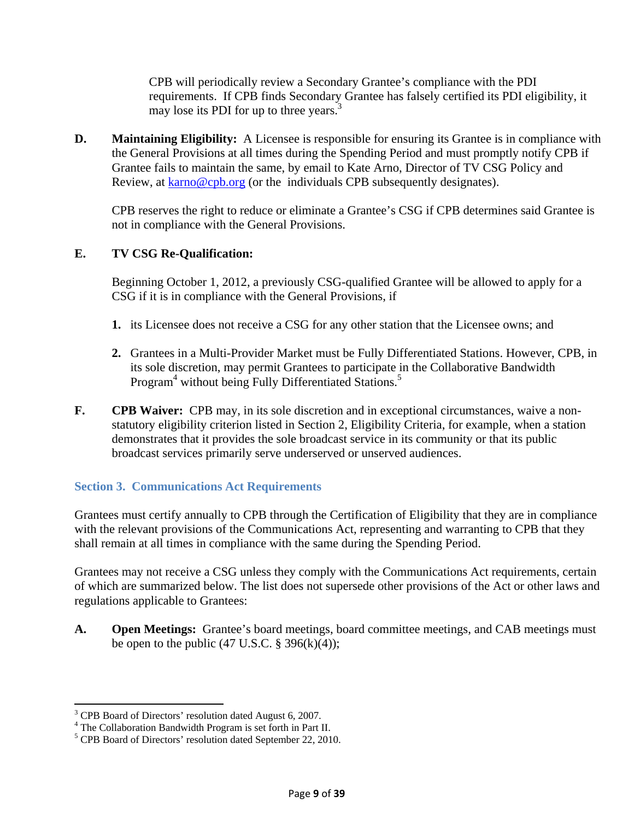CPB will periodically review a Secondary Grantee's compliance with the PDI requirements. If CPB finds Secondary Grantee has falsely certified its PDI eligibility, it may lose its PDI for up to three years.<sup>3</sup>

**D.** Maintaining Eligibility: A Licensee is responsible for ensuring its Grantee is in compliance with the General Provisions at all times during the Spending Period and must promptly notify CPB if Grantee fails to maintain the same, by email to Kate Arno, Director of TV CSG Policy and Review, at karno@cpb.org (or the individuals CPB subsequently designates).

CPB reserves the right to reduce or eliminate a Grantee's CSG if CPB determines said Grantee is not in compliance with the General Provisions.

# **E. TV CSG Re-Qualification:**

Beginning October 1, 2012, a previously CSG-qualified Grantee will be allowed to apply for a CSG if it is in compliance with the General Provisions, if

- **1.** its Licensee does not receive a CSG for any other station that the Licensee owns; and
- **2.** Grantees in a Multi-Provider Market must be Fully Differentiated Stations. However, CPB, in its sole discretion, may permit Grantees to participate in the Collaborative Bandwidth Program<sup>4</sup> without being Fully Differentiated Stations.<sup>5</sup>
- **F. CPB Waiver:** CPB may, in its sole discretion and in exceptional circumstances, waive a nonstatutory eligibility criterion listed in Section 2, Eligibility Criteria, for example, when a station demonstrates that it provides the sole broadcast service in its community or that its public broadcast services primarily serve underserved or unserved audiences.

# **Section 3. Communications Act Requirements**

Grantees must certify annually to CPB through the Certification of Eligibility that they are in compliance with the relevant provisions of the Communications Act, representing and warranting to CPB that they shall remain at all times in compliance with the same during the Spending Period.

Grantees may not receive a CSG unless they comply with the Communications Act requirements, certain of which are summarized below. The list does not supersede other provisions of the Act or other laws and regulations applicable to Grantees:

**A. Open Meetings:** Grantee's board meetings, board committee meetings, and CAB meetings must be open to the public  $(47 \text{ U.S.C.} \$ 396(k)(4));$ 

<sup>&</sup>lt;sup>3</sup> CPB Board of Directors' resolution dated August 6, 2007.

<sup>&</sup>lt;sup>4</sup> The Collaboration Bandwidth Program is set forth in Part II.

<sup>&</sup>lt;sup>5</sup> CPB Board of Directors' resolution dated September 22, 2010.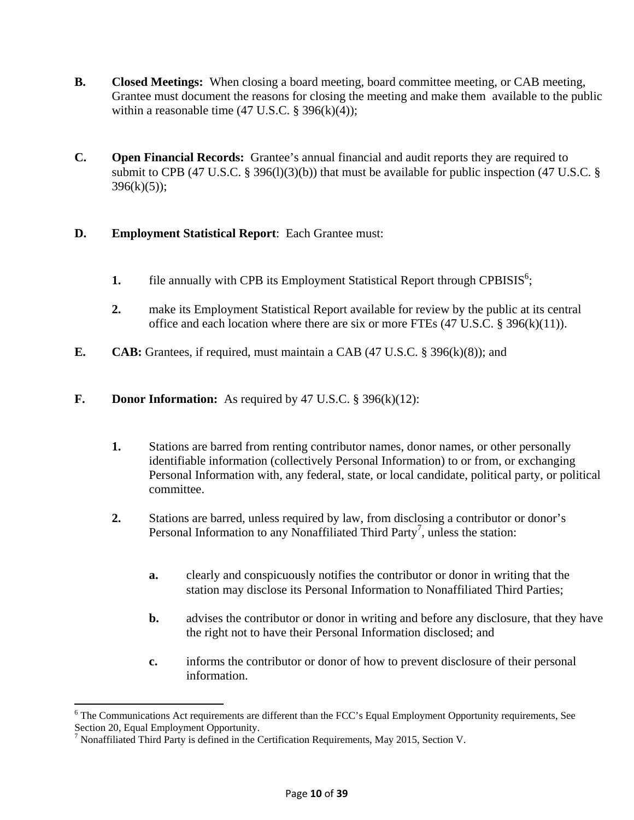- **B. Closed Meetings:** When closing a board meeting, board committee meeting, or CAB meeting, Grantee must document the reasons for closing the meeting and make them available to the public within a reasonable time  $(47 \text{ U.S.C.} \S 396(k)(4));$
- **C. Open Financial Records:** Grantee's annual financial and audit reports they are required to submit to CPB (47 U.S.C. § 396(1)(3)(b)) that must be available for public inspection (47 U.S.C. §  $396(k)(5)$ ;

# **D. Employment Statistical Report**: Each Grantee must:

- **1.** file annually with CPB its Employment Statistical Report through CPBISIS<sup>6</sup>;
- **2.** make its Employment Statistical Report available for review by the public at its central office and each location where there are six or more FTEs (47 U.S.C. § 396(k)(11)).
- **E. CAB:** Grantees, if required, must maintain a CAB (47 U.S.C. § 396(k)(8)); and

# **F. Donor Information:** As required by 47 U.S.C. § 396(k)(12):

- **1.** Stations are barred from renting contributor names, donor names, or other personally identifiable information (collectively Personal Information) to or from, or exchanging Personal Information with, any federal, state, or local candidate, political party, or political committee.
- **2.** Stations are barred, unless required by law, from disclosing a contributor or donor's Personal Information to any Nonaffiliated Third Party<sup>7</sup>, unless the station:
	- **a.** clearly and conspicuously notifies the contributor or donor in writing that the station may disclose its Personal Information to Nonaffiliated Third Parties;
	- **b.** advises the contributor or donor in writing and before any disclosure, that they have the right not to have their Personal Information disclosed; and
	- **c.** informs the contributor or donor of how to prevent disclosure of their personal information.

<sup>&</sup>lt;sup>6</sup> The Communications Act requirements are different than the FCC's Equal Employment Opportunity requirements, See Section 20, Equal Employment Opportunity.

<sup>&</sup>lt;sup>7</sup> Nonaffiliated Third Party is defined in the Certification Requirements, May 2015, Section V.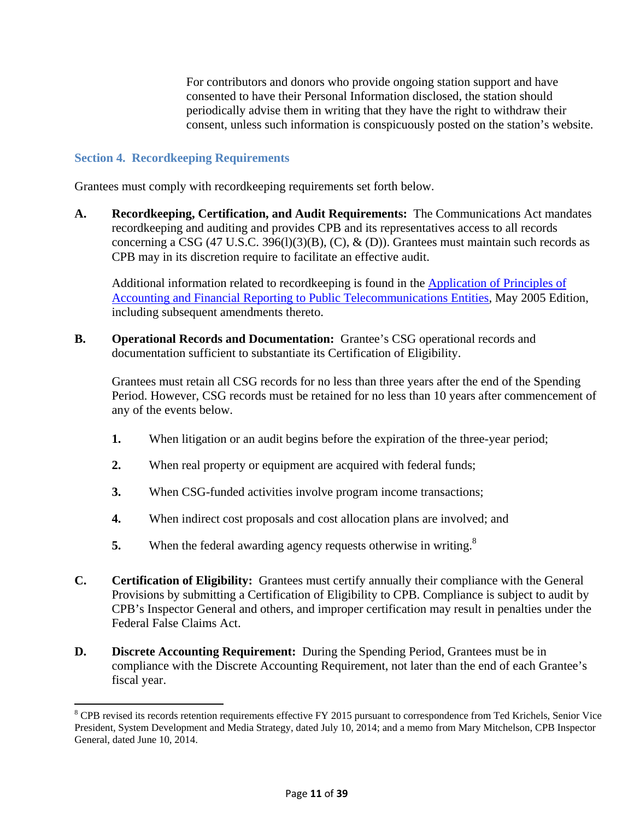For contributors and donors who provide ongoing station support and have consented to have their Personal Information disclosed, the station should periodically advise them in writing that they have the right to withdraw their consent, unless such information is conspicuously posted on the station's website.

### **Section 4. Recordkeeping Requirements**

 $\overline{\phantom{a}}$ 

Grantees must comply with recordkeeping requirements set forth below.

**A. Recordkeeping, Certification, and Audit Requirements:** The Communications Act mandates recordkeeping and auditing and provides CPB and its representatives access to all records concerning a CSG (47 U.S.C. 396(1)(3)(B), (C),  $\&$  (D)). Grantees must maintain such records as CPB may in its discretion require to facilitate an effective audit.

Additional information related to recordkeeping is found in the Application of Principles of Accounting and Financial Reporting to Public Telecommunications Entities, May 2005 Edition, including subsequent amendments thereto.

**B. Operational Records and Documentation:** Grantee's CSG operational records and documentation sufficient to substantiate its Certification of Eligibility.

Grantees must retain all CSG records for no less than three years after the end of the Spending Period. However, CSG records must be retained for no less than 10 years after commencement of any of the events below.

- **1.** When litigation or an audit begins before the expiration of the three-year period;
- **2.** When real property or equipment are acquired with federal funds;
- **3.** When CSG-funded activities involve program income transactions;
- **4.** When indirect cost proposals and cost allocation plans are involved; and
- **5.** When the federal awarding agency requests otherwise in writing.<sup>8</sup>
- **C. Certification of Eligibility:** Grantees must certify annually their compliance with the General Provisions by submitting a Certification of Eligibility to CPB. Compliance is subject to audit by CPB's Inspector General and others, and improper certification may result in penalties under the Federal False Claims Act.
- **D. Discrete Accounting Requirement:** During the Spending Period, Grantees must be in compliance with the Discrete Accounting Requirement, not later than the end of each Grantee's fiscal year.

 $8$  CPB revised its records retention requirements effective FY 2015 pursuant to correspondence from Ted Krichels, Senior Vice President, System Development and Media Strategy, dated July 10, 2014; and a memo from Mary Mitchelson, CPB Inspector General, dated June 10, 2014.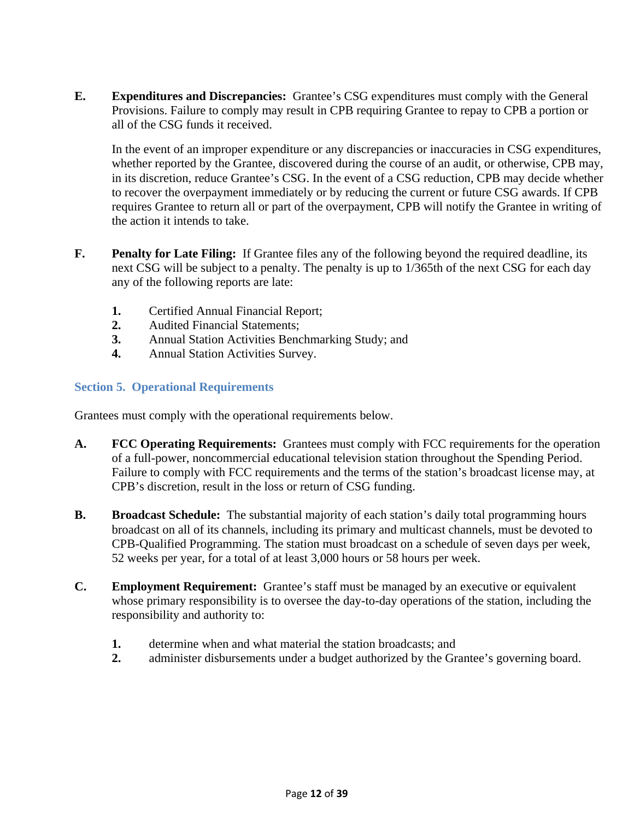**E. Expenditures and Discrepancies:** Grantee's CSG expenditures must comply with the General Provisions. Failure to comply may result in CPB requiring Grantee to repay to CPB a portion or all of the CSG funds it received.

 In the event of an improper expenditure or any discrepancies or inaccuracies in CSG expenditures, whether reported by the Grantee, discovered during the course of an audit, or otherwise, CPB may, in its discretion, reduce Grantee's CSG. In the event of a CSG reduction, CPB may decide whether to recover the overpayment immediately or by reducing the current or future CSG awards. If CPB requires Grantee to return all or part of the overpayment, CPB will notify the Grantee in writing of the action it intends to take.

- **F. Penalty for Late Filing:** If Grantee files any of the following beyond the required deadline, its next CSG will be subject to a penalty. The penalty is up to 1/365th of the next CSG for each day any of the following reports are late:
	- **1.** Certified Annual Financial Report;
	- **2.** Audited Financial Statements;
	- **3.** Annual Station Activities Benchmarking Study; and
	- **4.** Annual Station Activities Survey.

### **Section 5. Operational Requirements**

Grantees must comply with the operational requirements below.

- **A. FCC Operating Requirements:** Grantees must comply with FCC requirements for the operation of a full-power, noncommercial educational television station throughout the Spending Period. Failure to comply with FCC requirements and the terms of the station's broadcast license may, at CPB's discretion, result in the loss or return of CSG funding.
- **B.** Broadcast Schedule: The substantial majority of each station's daily total programming hours broadcast on all of its channels, including its primary and multicast channels, must be devoted to CPB-Qualified Programming. The station must broadcast on a schedule of seven days per week, 52 weeks per year, for a total of at least 3,000 hours or 58 hours per week.
- **C. Employment Requirement:** Grantee's staff must be managed by an executive or equivalent whose primary responsibility is to oversee the day-to-day operations of the station, including the responsibility and authority to:
	- **1.** determine when and what material the station broadcasts; and
	- **2.** administer disbursements under a budget authorized by the Grantee's governing board.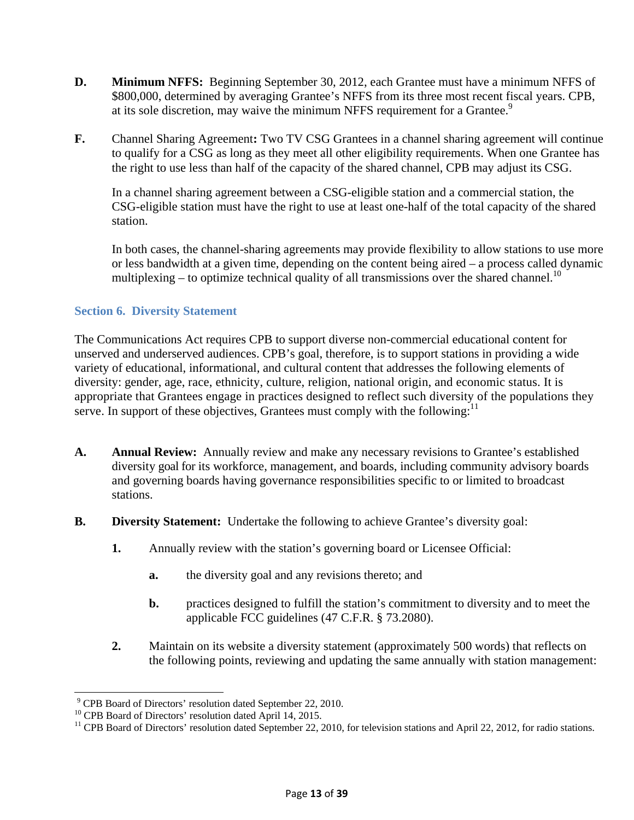- **D. Minimum NFFS:** Beginning September 30, 2012, each Grantee must have a minimum NFFS of \$800,000, determined by averaging Grantee's NFFS from its three most recent fiscal years. CPB, at its sole discretion, may waive the minimum NFFS requirement for a Grantee.<sup>9</sup>
- **F.** Channel Sharing Agreement**:** Two TV CSG Grantees in a channel sharing agreement will continue to qualify for a CSG as long as they meet all other eligibility requirements. When one Grantee has the right to use less than half of the capacity of the shared channel, CPB may adjust its CSG.

In a channel sharing agreement between a CSG-eligible station and a commercial station, the CSG-eligible station must have the right to use at least one-half of the total capacity of the shared station.

In both cases, the channel-sharing agreements may provide flexibility to allow stations to use more or less bandwidth at a given time, depending on the content being aired – a process called dynamic multiplexing – to optimize technical quality of all transmissions over the shared channel.<sup>10</sup>

### **Section 6. Diversity Statement**

The Communications Act requires CPB to support diverse non-commercial educational content for unserved and underserved audiences. CPB's goal, therefore, is to support stations in providing a wide variety of educational, informational, and cultural content that addresses the following elements of diversity: gender, age, race, ethnicity, culture, religion, national origin, and economic status. It is appropriate that Grantees engage in practices designed to reflect such diversity of the populations they serve. In support of these objectives, Grantees must comply with the following: $^{11}$ 

- **A. Annual Review:** Annually review and make any necessary revisions to Grantee's established diversity goal for its workforce, management, and boards, including community advisory boards and governing boards having governance responsibilities specific to or limited to broadcast stations.
- **B. Diversity Statement:** Undertake the following to achieve Grantee's diversity goal:
	- **1.** Annually review with the station's governing board or Licensee Official:
		- **a.** the diversity goal and any revisions thereto; and
		- **b.** practices designed to fulfill the station's commitment to diversity and to meet the applicable FCC guidelines (47 C.F.R. § 73.2080).
	- **2.** Maintain on its website a diversity statement (approximately 500 words) that reflects on the following points, reviewing and updating the same annually with station management:

 9 CPB Board of Directors' resolution dated September 22, 2010.

<sup>&</sup>lt;sup>10</sup> CPB Board of Directors' resolution dated April 14, 2015.

<sup>&</sup>lt;sup>11</sup> CPB Board of Directors' resolution dated September 22, 2010, for television stations and April 22, 2012, for radio stations.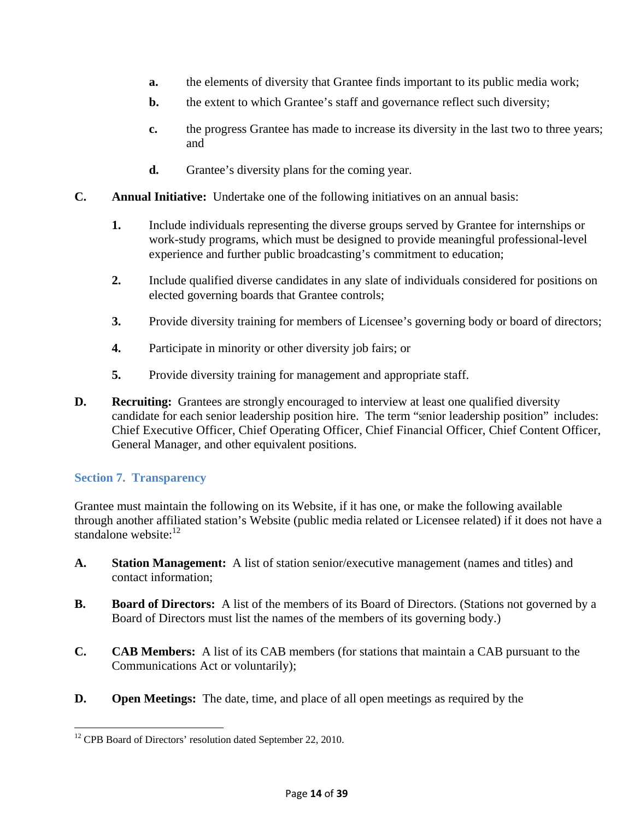- **a.** the elements of diversity that Grantee finds important to its public media work;
- **b.** the extent to which Grantee's staff and governance reflect such diversity;
- **c.** the progress Grantee has made to increase its diversity in the last two to three years; and
- **d.** Grantee's diversity plans for the coming year.
- **C. Annual Initiative:** Undertake one of the following initiatives on an annual basis:
	- **1.** Include individuals representing the diverse groups served by Grantee for internships or work-study programs, which must be designed to provide meaningful professional-level experience and further public broadcasting's commitment to education;
	- **2.** Include qualified diverse candidates in any slate of individuals considered for positions on elected governing boards that Grantee controls;
	- **3.** Provide diversity training for members of Licensee's governing body or board of directors;
	- **4.** Participate in minority or other diversity job fairs; or
	- **5.** Provide diversity training for management and appropriate staff.
- **D. Recruiting:** Grantees are strongly encouraged to interview at least one qualified diversity candidate for each senior leadership position hire. The term "senior leadership position" includes: Chief Executive Officer, Chief Operating Officer, Chief Financial Officer, Chief Content Officer, General Manager, and other equivalent positions.

#### **Section 7. Transparency**

 $\overline{\phantom{a}}$ 

Grantee must maintain the following on its Website, if it has one, or make the following available through another affiliated station's Website (public media related or Licensee related) if it does not have a standalone website: $12$ 

- **A. Station Management:** A list of station senior/executive management (names and titles) and contact information;
- **B. Board of Directors:** A list of the members of its Board of Directors. (Stations not governed by a Board of Directors must list the names of the members of its governing body.)
- **C. CAB Members:** A list of its CAB members (for stations that maintain a CAB pursuant to the Communications Act or voluntarily);
- **D. Open Meetings:** The date, time, and place of all open meetings as required by the

<sup>&</sup>lt;sup>12</sup> CPB Board of Directors' resolution dated September 22, 2010.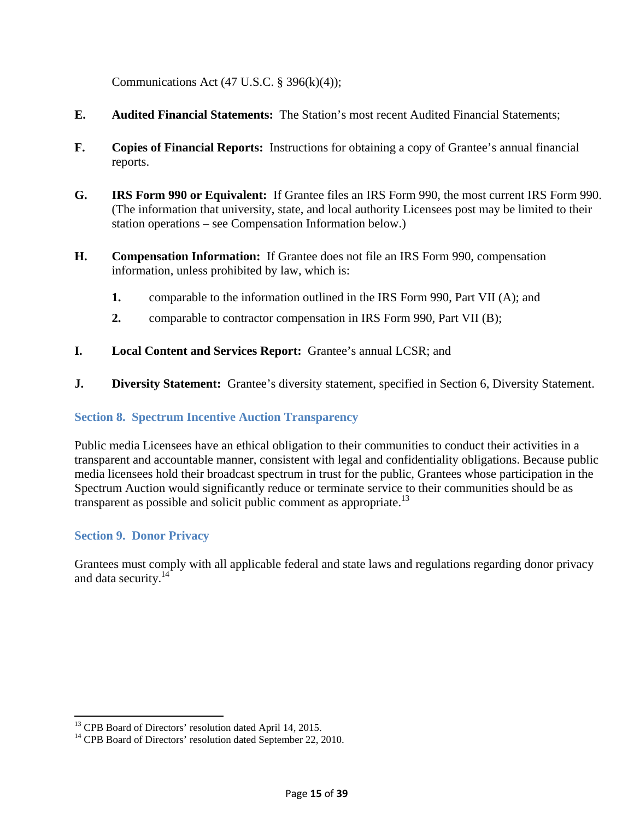Communications Act (47 U.S.C.  $\S$  396(k)(4));

- **E. Audited Financial Statements:** The Station's most recent Audited Financial Statements;
- **F. Copies of Financial Reports:** Instructions for obtaining a copy of Grantee's annual financial reports.
- **G. IRS Form 990 or Equivalent:** If Grantee files an IRS Form 990, the most current IRS Form 990. (The information that university, state, and local authority Licensees post may be limited to their station operations – see Compensation Information below.)
- **H. Compensation Information:** If Grantee does not file an IRS Form 990, compensation information, unless prohibited by law, which is:
	- **1.** comparable to the information outlined in the IRS Form 990, Part VII (A); and
	- **2.** comparable to contractor compensation in IRS Form 990, Part VII (B);
- **I. Local Content and Services Report:** Grantee's annual LCSR; and
- **J. Diversity Statement:** Grantee's diversity statement, specified in Section 6, Diversity Statement.

#### **Section 8. Spectrum Incentive Auction Transparency**

Public media Licensees have an ethical obligation to their communities to conduct their activities in a transparent and accountable manner, consistent with legal and confidentiality obligations. Because public media licensees hold their broadcast spectrum in trust for the public, Grantees whose participation in the Spectrum Auction would significantly reduce or terminate service to their communities should be as transparent as possible and solicit public comment as appropriate.<sup>13</sup>

# **Section 9. Donor Privacy**

 $\overline{a}$ 

Grantees must comply with all applicable federal and state laws and regulations regarding donor privacy and data security.<sup>14</sup>

<sup>&</sup>lt;sup>13</sup> CPB Board of Directors' resolution dated April 14, 2015.

<sup>&</sup>lt;sup>14</sup> CPB Board of Directors' resolution dated September 22, 2010.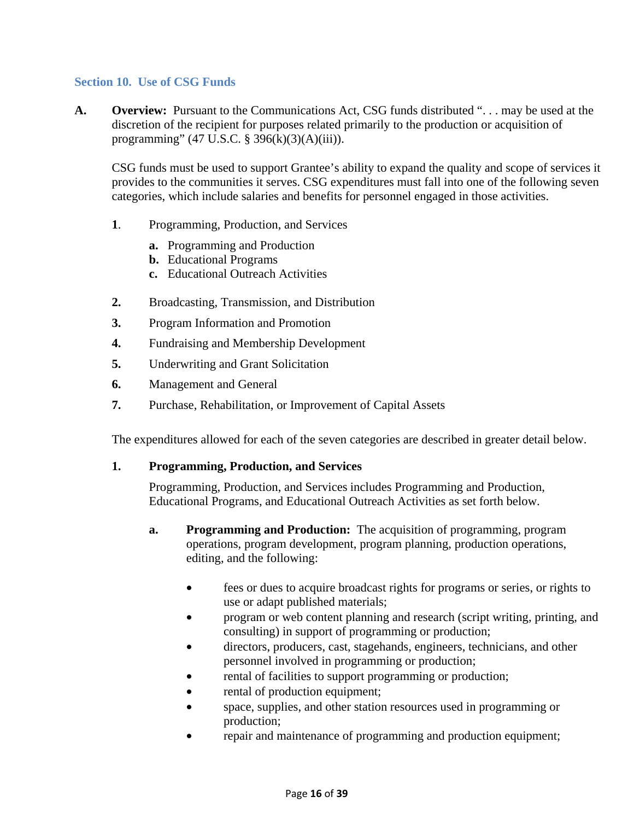#### **Section 10. Use of CSG Funds**

**A. Overview:** Pursuant to the Communications Act, CSG funds distributed ". . . may be used at the discretion of the recipient for purposes related primarily to the production or acquisition of programming" (47 U.S.C. § 396(k)(3)(A)(iii)).

CSG funds must be used to support Grantee's ability to expand the quality and scope of services it provides to the communities it serves. CSG expenditures must fall into one of the following seven categories, which include salaries and benefits for personnel engaged in those activities.

- **1**. Programming, Production, and Services
	- **a.** Programming and Production
	- **b.** Educational Programs
	- **c.** Educational Outreach Activities
- **2.** Broadcasting, Transmission, and Distribution
- **3.** Program Information and Promotion
- **4.** Fundraising and Membership Development
- **5.** Underwriting and Grant Solicitation
- **6.** Management and General
- **7.** Purchase, Rehabilitation, or Improvement of Capital Assets

The expenditures allowed for each of the seven categories are described in greater detail below.

#### **1. Programming, Production, and Services**

Programming, Production, and Services includes Programming and Production, Educational Programs, and Educational Outreach Activities as set forth below.

- **a. Programming and Production:** The acquisition of programming, program operations, program development, program planning, production operations, editing, and the following:
	- fees or dues to acquire broadcast rights for programs or series, or rights to use or adapt published materials;
	- program or web content planning and research (script writing, printing, and consulting) in support of programming or production;
	- directors, producers, cast, stagehands, engineers, technicians, and other personnel involved in programming or production;
	- rental of facilities to support programming or production;
	- rental of production equipment;
	- space, supplies, and other station resources used in programming or production;
	- repair and maintenance of programming and production equipment;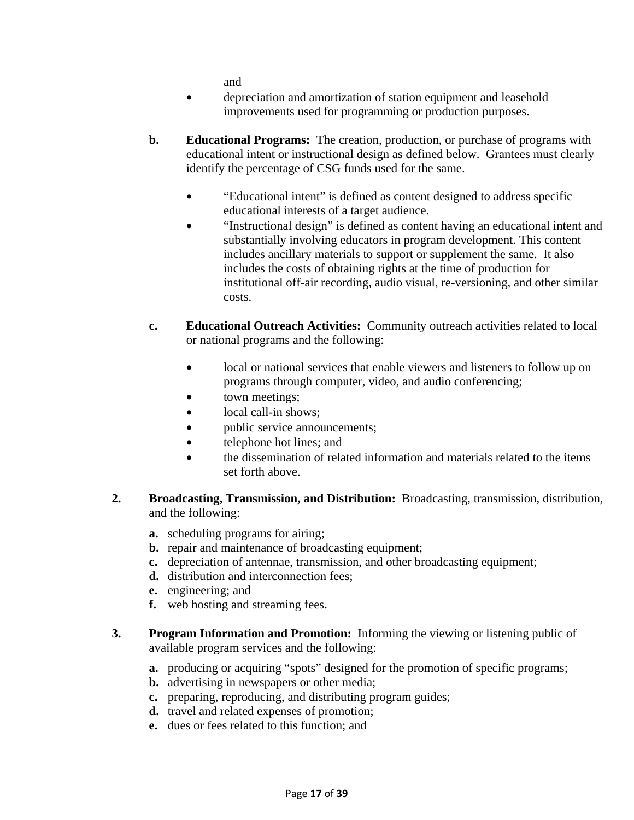and

- depreciation and amortization of station equipment and leasehold improvements used for programming or production purposes.
- **b. Educational Programs:** The creation, production, or purchase of programs with educational intent or instructional design as defined below. Grantees must clearly identify the percentage of CSG funds used for the same.
	- "Educational intent" is defined as content designed to address specific educational interests of a target audience.
	- "Instructional design" is defined as content having an educational intent and substantially involving educators in program development. This content includes ancillary materials to support or supplement the same. It also includes the costs of obtaining rights at the time of production for institutional off-air recording, audio visual, re-versioning, and other similar costs.
- **c. Educational Outreach Activities:** Community outreach activities related to local or national programs and the following:
	- local or national services that enable viewers and listeners to follow up on programs through computer, video, and audio conferencing;
	- town meetings;
	- local call-in shows:
	- public service announcements;
	- telephone hot lines; and
	- the dissemination of related information and materials related to the items set forth above.
- **2. Broadcasting, Transmission, and Distribution:** Broadcasting, transmission, distribution, and the following:
	- **a.** scheduling programs for airing;
	- **b.** repair and maintenance of broadcasting equipment;
	- **c.** depreciation of antennae, transmission, and other broadcasting equipment;
	- **d.** distribution and interconnection fees;
	- **e.** engineering; and
	- **f.** web hosting and streaming fees.
- **3. Program Information and Promotion:** Informing the viewing or listening public of available program services and the following:
	- **a.** producing or acquiring "spots" designed for the promotion of specific programs;
	- **b.** advertising in newspapers or other media;
	- **c.** preparing, reproducing, and distributing program guides;
	- **d.** travel and related expenses of promotion;
	- **e.** dues or fees related to this function; and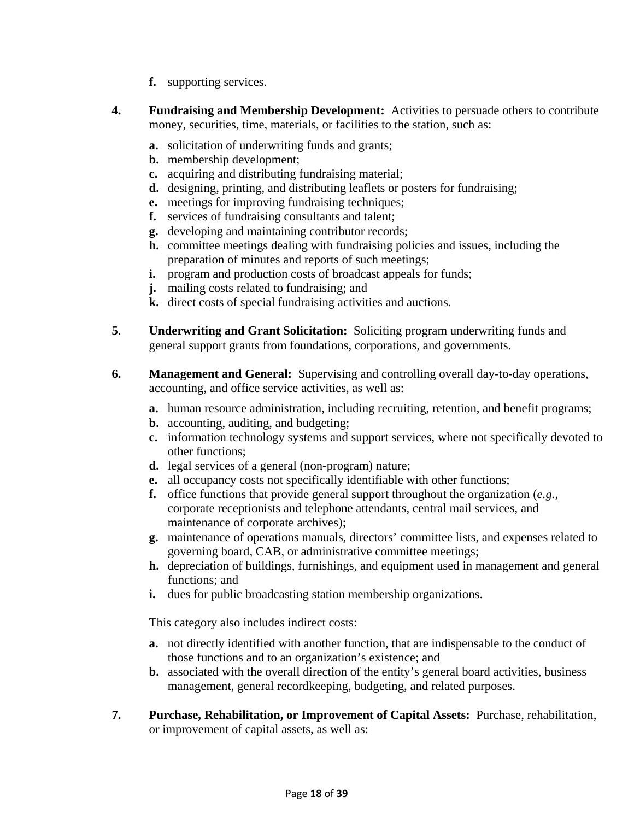- **f.** supporting services.
- **4. Fundraising and Membership Development:** Activities to persuade others to contribute money, securities, time, materials, or facilities to the station, such as:
	- **a.** solicitation of underwriting funds and grants;
	- **b.** membership development;
	- **c.** acquiring and distributing fundraising material;
	- **d.** designing, printing, and distributing leaflets or posters for fundraising;
	- **e.** meetings for improving fundraising techniques;
	- **f.** services of fundraising consultants and talent;
	- **g.** developing and maintaining contributor records;
	- **h.** committee meetings dealing with fundraising policies and issues, including the preparation of minutes and reports of such meetings;
	- **i.** program and production costs of broadcast appeals for funds;
	- **j.** mailing costs related to fundraising; and
	- **k.** direct costs of special fundraising activities and auctions.
- **5**. **Underwriting and Grant Solicitation:** Soliciting program underwriting funds and general support grants from foundations, corporations, and governments.
- **6. Management and General:** Supervising and controlling overall day-to-day operations, accounting, and office service activities, as well as:
	- **a.** human resource administration, including recruiting, retention, and benefit programs;
	- **b.** accounting, auditing, and budgeting;
	- **c.** information technology systems and support services, where not specifically devoted to other functions;
	- **d.** legal services of a general (non-program) nature;
	- **e.** all occupancy costs not specifically identifiable with other functions;
	- **f.** office functions that provide general support throughout the organization (*e.g.*, corporate receptionists and telephone attendants, central mail services, and maintenance of corporate archives);
	- **g.** maintenance of operations manuals, directors' committee lists, and expenses related to governing board, CAB, or administrative committee meetings;
	- **h.** depreciation of buildings, furnishings, and equipment used in management and general functions; and
	- **i.** dues for public broadcasting station membership organizations.

This category also includes indirect costs:

- **a.** not directly identified with another function, that are indispensable to the conduct of those functions and to an organization's existence; and
- **b.** associated with the overall direction of the entity's general board activities, business management, general recordkeeping, budgeting, and related purposes.
- **7. Purchase, Rehabilitation, or Improvement of Capital Assets:** Purchase, rehabilitation, or improvement of capital assets, as well as: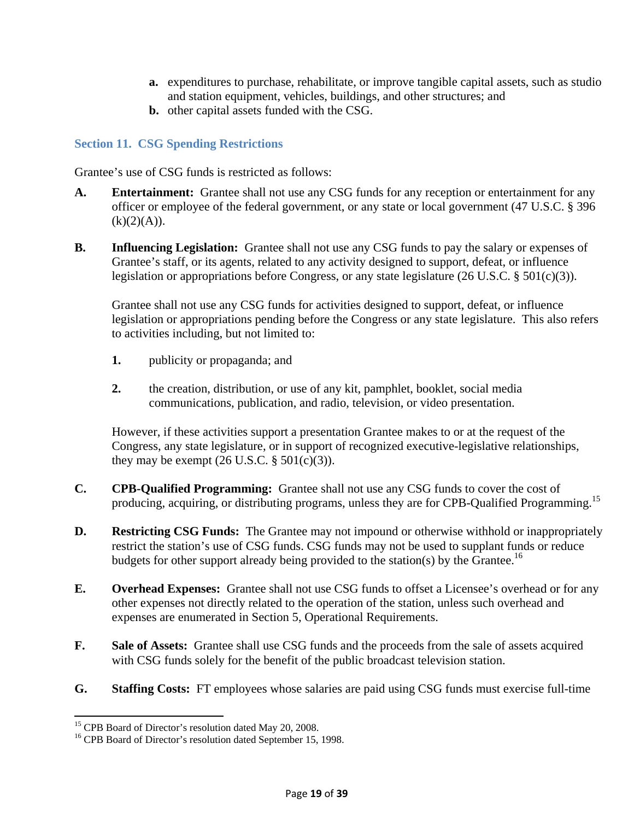- **a.** expenditures to purchase, rehabilitate, or improve tangible capital assets, such as studio and station equipment, vehicles, buildings, and other structures; and
- **b.** other capital assets funded with the CSG.

### **Section 11. CSG Spending Restrictions**

Grantee's use of CSG funds is restricted as follows:

- **A. Entertainment:** Grantee shall not use any CSG funds for any reception or entertainment for any officer or employee of the federal government, or any state or local government (47 U.S.C. § 396  $(k)(2)(A)).$
- **B. Influencing Legislation:** Grantee shall not use any CSG funds to pay the salary or expenses of Grantee's staff, or its agents, related to any activity designed to support, defeat, or influence legislation or appropriations before Congress, or any state legislature (26 U.S.C. § 501(c)(3)).

Grantee shall not use any CSG funds for activities designed to support, defeat, or influence legislation or appropriations pending before the Congress or any state legislature. This also refers to activities including, but not limited to:

- **1.** publicity or propaganda; and
- **2.** the creation, distribution, or use of any kit, pamphlet, booklet, social media communications, publication, and radio, television, or video presentation.

However, if these activities support a presentation Grantee makes to or at the request of the Congress, any state legislature, or in support of recognized executive-legislative relationships, they may be exempt  $(26 \text{ U.S.C. } § 501(c)(3))$ .

- **C. CPB-Qualified Programming:** Grantee shall not use any CSG funds to cover the cost of producing, acquiring, or distributing programs, unless they are for CPB-Qualified Programming.<sup>15</sup>
- **D. Restricting CSG Funds:** The Grantee may not impound or otherwise withhold or inappropriately restrict the station's use of CSG funds. CSG funds may not be used to supplant funds or reduce budgets for other support already being provided to the station(s) by the Grantee.<sup>16</sup>
- **E. Overhead Expenses:** Grantee shall not use CSG funds to offset a Licensee's overhead or for any other expenses not directly related to the operation of the station, unless such overhead and expenses are enumerated in Section 5, Operational Requirements.
- **F. Sale of Assets:** Grantee shall use CSG funds and the proceeds from the sale of assets acquired with CSG funds solely for the benefit of the public broadcast television station.
- **G. Staffing Costs:** FT employees whose salaries are paid using CSG funds must exercise full-time

 $\overline{a}$ 

<sup>&</sup>lt;sup>15</sup> CPB Board of Director's resolution dated May 20, 2008.

<sup>&</sup>lt;sup>16</sup> CPB Board of Director's resolution dated September 15, 1998.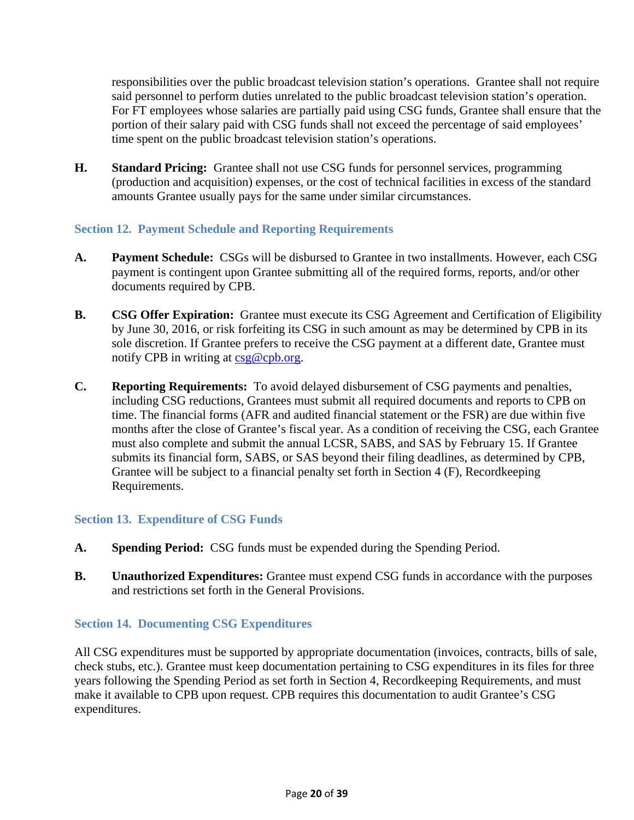responsibilities over the public broadcast television station's operations. Grantee shall not require said personnel to perform duties unrelated to the public broadcast television station's operation. For FT employees whose salaries are partially paid using CSG funds, Grantee shall ensure that the portion of their salary paid with CSG funds shall not exceed the percentage of said employees' time spent on the public broadcast television station's operations.

**H. Standard Pricing:** Grantee shall not use CSG funds for personnel services, programming (production and acquisition) expenses, or the cost of technical facilities in excess of the standard amounts Grantee usually pays for the same under similar circumstances.

# **Section 12. Payment Schedule and Reporting Requirements**

- **A. Payment Schedule:** CSGs will be disbursed to Grantee in two installments. However, each CSG payment is contingent upon Grantee submitting all of the required forms, reports, and/or other documents required by CPB.
- **B. CSG Offer Expiration:** Grantee must execute its CSG Agreement and Certification of Eligibility by June 30, 2016, or risk forfeiting its CSG in such amount as may be determined by CPB in its sole discretion. If Grantee prefers to receive the CSG payment at a different date, Grantee must notify CPB in writing at csg@cpb.org.
- **C. Reporting Requirements:** To avoid delayed disbursement of CSG payments and penalties, including CSG reductions, Grantees must submit all required documents and reports to CPB on time. The financial forms (AFR and audited financial statement or the FSR) are due within five months after the close of Grantee's fiscal year. As a condition of receiving the CSG, each Grantee must also complete and submit the annual LCSR, SABS, and SAS by February 15. If Grantee submits its financial form, SABS, or SAS beyond their filing deadlines, as determined by CPB, Grantee will be subject to a financial penalty set forth in Section 4 (F), Recordkeeping Requirements.

#### **Section 13. Expenditure of CSG Funds**

- **A. Spending Period:** CSG funds must be expended during the Spending Period.
- **B.** Unauthorized Expenditures: Grantee must expend CSG funds in accordance with the purposes and restrictions set forth in the General Provisions.

#### **Section 14. Documenting CSG Expenditures**

All CSG expenditures must be supported by appropriate documentation (invoices, contracts, bills of sale, check stubs, etc.). Grantee must keep documentation pertaining to CSG expenditures in its files for three years following the Spending Period as set forth in Section 4, Recordkeeping Requirements, and must make it available to CPB upon request. CPB requires this documentation to audit Grantee's CSG expenditures.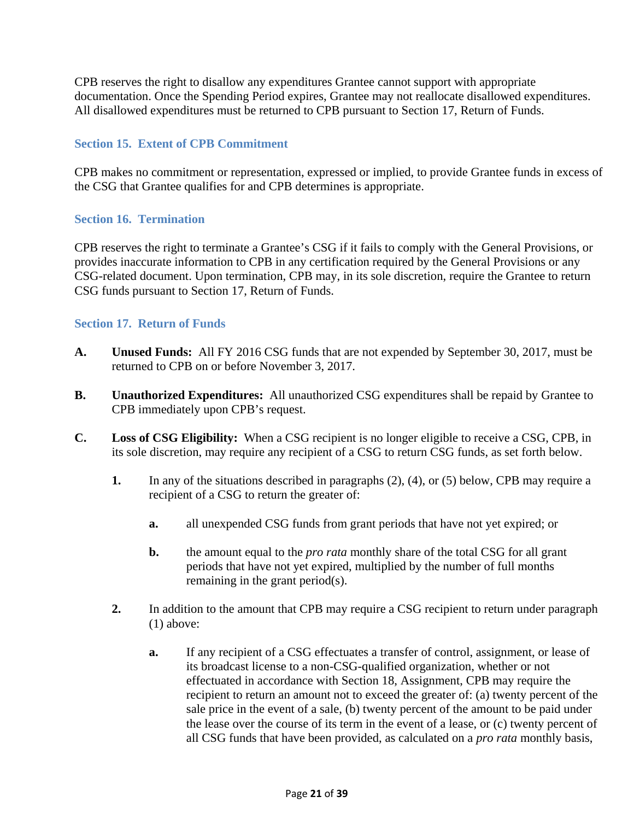CPB reserves the right to disallow any expenditures Grantee cannot support with appropriate documentation. Once the Spending Period expires, Grantee may not reallocate disallowed expenditures. All disallowed expenditures must be returned to CPB pursuant to Section 17, Return of Funds.

### **Section 15. Extent of CPB Commitment**

CPB makes no commitment or representation, expressed or implied, to provide Grantee funds in excess of the CSG that Grantee qualifies for and CPB determines is appropriate.

#### **Section 16. Termination**

CPB reserves the right to terminate a Grantee's CSG if it fails to comply with the General Provisions, or provides inaccurate information to CPB in any certification required by the General Provisions or any CSG-related document. Upon termination, CPB may, in its sole discretion, require the Grantee to return CSG funds pursuant to Section 17, Return of Funds.

#### **Section 17. Return of Funds**

- **A. Unused Funds:** All FY 2016 CSG funds that are not expended by September 30, 2017, must be returned to CPB on or before November 3, 2017.
- **B. Unauthorized Expenditures:** All unauthorized CSG expenditures shall be repaid by Grantee to CPB immediately upon CPB's request.
- **C. Loss of CSG Eligibility:** When a CSG recipient is no longer eligible to receive a CSG, CPB, in its sole discretion, may require any recipient of a CSG to return CSG funds, as set forth below.
	- **1.** In any of the situations described in paragraphs (2), (4), or (5) below, CPB may require a recipient of a CSG to return the greater of:
		- **a.** all unexpended CSG funds from grant periods that have not yet expired; or
		- **b.** the amount equal to the *pro rata* monthly share of the total CSG for all grant periods that have not yet expired, multiplied by the number of full months remaining in the grant period(s).
	- **2.** In addition to the amount that CPB may require a CSG recipient to return under paragraph (1) above:
		- **a.** If any recipient of a CSG effectuates a transfer of control, assignment, or lease of its broadcast license to a non-CSG-qualified organization, whether or not effectuated in accordance with Section 18, Assignment, CPB may require the recipient to return an amount not to exceed the greater of: (a) twenty percent of the sale price in the event of a sale, (b) twenty percent of the amount to be paid under the lease over the course of its term in the event of a lease, or (c) twenty percent of all CSG funds that have been provided, as calculated on a *pro rata* monthly basis,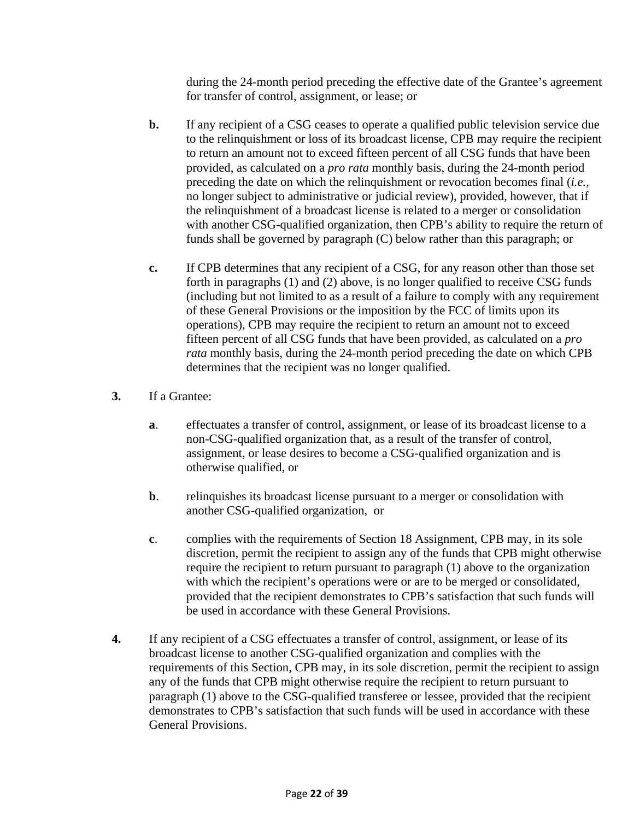during the 24-month period preceding the effective date of the Grantee's agreement for transfer of control, assignment, or lease; or

- **b.** If any recipient of a CSG ceases to operate a qualified public television service due to the relinquishment or loss of its broadcast license, CPB may require the recipient to return an amount not to exceed fifteen percent of all CSG funds that have been provided, as calculated on a *pro rata* monthly basis, during the 24-month period preceding the date on which the relinquishment or revocation becomes final (*i.e.*, no longer subject to administrative or judicial review), provided, however, that if the relinquishment of a broadcast license is related to a merger or consolidation with another CSG-qualified organization, then CPB's ability to require the return of funds shall be governed by paragraph (C) below rather than this paragraph; or
- **c.** If CPB determines that any recipient of a CSG, for any reason other than those set forth in paragraphs (1) and (2) above, is no longer qualified to receive CSG funds (including but not limited to as a result of a failure to comply with any requirement of these General Provisions or the imposition by the FCC of limits upon its operations), CPB may require the recipient to return an amount not to exceed fifteen percent of all CSG funds that have been provided, as calculated on a *pro rata* monthly basis, during the 24-month period preceding the date on which CPB determines that the recipient was no longer qualified.
- **3.** If a Grantee:
	- **a**. effectuates a transfer of control, assignment, or lease of its broadcast license to a non-CSG-qualified organization that, as a result of the transfer of control, assignment, or lease desires to become a CSG-qualified organization and is otherwise qualified, or
	- **b.** relinquishes its broadcast license pursuant to a merger or consolidation with another CSG-qualified organization, or
	- **c**. complies with the requirements of Section 18 Assignment, CPB may, in its sole discretion, permit the recipient to assign any of the funds that CPB might otherwise require the recipient to return pursuant to paragraph (1) above to the organization with which the recipient's operations were or are to be merged or consolidated, provided that the recipient demonstrates to CPB's satisfaction that such funds will be used in accordance with these General Provisions.
- **4.** If any recipient of a CSG effectuates a transfer of control, assignment, or lease of its broadcast license to another CSG-qualified organization and complies with the requirements of this Section, CPB may, in its sole discretion, permit the recipient to assign any of the funds that CPB might otherwise require the recipient to return pursuant to paragraph (1) above to the CSG-qualified transferee or lessee, provided that the recipient demonstrates to CPB's satisfaction that such funds will be used in accordance with these General Provisions.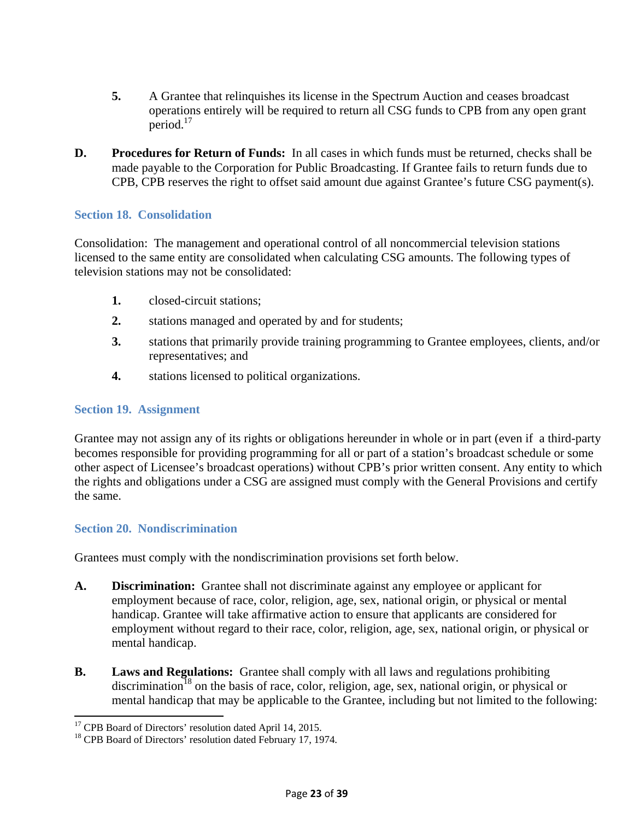- **5.** A Grantee that relinquishes its license in the Spectrum Auction and ceases broadcast operations entirely will be required to return all CSG funds to CPB from any open grant period. $17$
- **D. Procedures for Return of Funds:** In all cases in which funds must be returned, checks shall be made payable to the Corporation for Public Broadcasting. If Grantee fails to return funds due to CPB, CPB reserves the right to offset said amount due against Grantee's future CSG payment(s).

### **Section 18. Consolidation**

Consolidation: The management and operational control of all noncommercial television stations licensed to the same entity are consolidated when calculating CSG amounts. The following types of television stations may not be consolidated:

- **1.** closed-circuit stations;
- **2.** stations managed and operated by and for students;
- **3.** stations that primarily provide training programming to Grantee employees, clients, and/or representatives; and
- **4.** stations licensed to political organizations.

#### **Section 19. Assignment**

Grantee may not assign any of its rights or obligations hereunder in whole or in part (even if a third-party becomes responsible for providing programming for all or part of a station's broadcast schedule or some other aspect of Licensee's broadcast operations) without CPB's prior written consent. Any entity to which the rights and obligations under a CSG are assigned must comply with the General Provisions and certify the same.

#### **Section 20. Nondiscrimination**

 $\overline{a}$ 

Grantees must comply with the nondiscrimination provisions set forth below.

- **A. Discrimination:** Grantee shall not discriminate against any employee or applicant for employment because of race, color, religion, age, sex, national origin, or physical or mental handicap. Grantee will take affirmative action to ensure that applicants are considered for employment without regard to their race, color, religion, age, sex, national origin, or physical or mental handicap.
- **B. Laws and Regulations:** Grantee shall comply with all laws and regulations prohibiting  $\arctan^{18}$  on the basis of race, color, religion, age, sex, national origin, or physical or mental handicap that may be applicable to the Grantee, including but not limited to the following:

<sup>&</sup>lt;sup>17</sup> CPB Board of Directors' resolution dated April 14, 2015.

<sup>&</sup>lt;sup>18</sup> CPB Board of Directors' resolution dated February 17, 1974.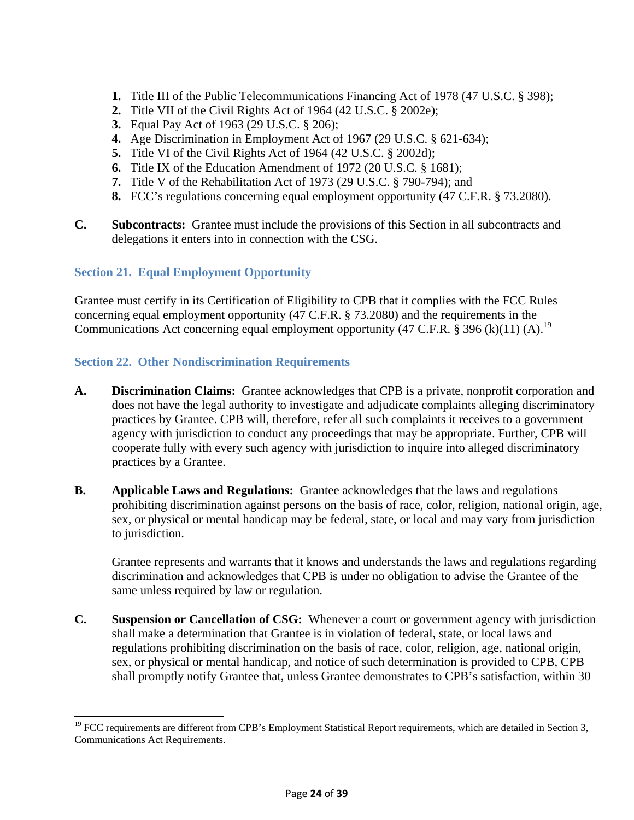- **1.** Title III of the Public Telecommunications Financing Act of 1978 (47 U.S.C. § 398);
- **2.** Title VII of the Civil Rights Act of 1964 (42 U.S.C. § 2002e);
- **3.** Equal Pay Act of 1963 (29 U.S.C. § 206);
- **4.** Age Discrimination in Employment Act of 1967 (29 U.S.C. § 621-634);
- **5.** Title VI of the Civil Rights Act of 1964 (42 U.S.C. § 2002d);
- **6.** Title IX of the Education Amendment of 1972 (20 U.S.C. § 1681);
- **7.** Title V of the Rehabilitation Act of 1973 (29 U.S.C. § 790-794); and
- **8.** FCC's regulations concerning equal employment opportunity (47 C.F.R. § 73.2080).
- **C. Subcontracts:** Grantee must include the provisions of this Section in all subcontracts and delegations it enters into in connection with the CSG.

### **Section 21. Equal Employment Opportunity**

 $\overline{a}$ 

Grantee must certify in its Certification of Eligibility to CPB that it complies with the FCC Rules concerning equal employment opportunity (47 C.F.R. § 73.2080) and the requirements in the Communications Act concerning equal employment opportunity (47 C.F.R. § 396 (k)(11) (A).<sup>19</sup>

### **Section 22. Other Nondiscrimination Requirements**

- **A. Discrimination Claims:** Grantee acknowledges that CPB is a private, nonprofit corporation and does not have the legal authority to investigate and adjudicate complaints alleging discriminatory practices by Grantee. CPB will, therefore, refer all such complaints it receives to a government agency with jurisdiction to conduct any proceedings that may be appropriate. Further, CPB will cooperate fully with every such agency with jurisdiction to inquire into alleged discriminatory practices by a Grantee.
- **B. Applicable Laws and Regulations:** Grantee acknowledges that the laws and regulations prohibiting discrimination against persons on the basis of race, color, religion, national origin, age, sex, or physical or mental handicap may be federal, state, or local and may vary from jurisdiction to jurisdiction.

Grantee represents and warrants that it knows and understands the laws and regulations regarding discrimination and acknowledges that CPB is under no obligation to advise the Grantee of the same unless required by law or regulation.

**C. Suspension or Cancellation of CSG:** Whenever a court or government agency with jurisdiction shall make a determination that Grantee is in violation of federal, state, or local laws and regulations prohibiting discrimination on the basis of race, color, religion, age, national origin, sex, or physical or mental handicap, and notice of such determination is provided to CPB, CPB shall promptly notify Grantee that, unless Grantee demonstrates to CPB's satisfaction, within 30

<sup>&</sup>lt;sup>19</sup> FCC requirements are different from CPB's Employment Statistical Report requirements, which are detailed in Section 3, Communications Act Requirements.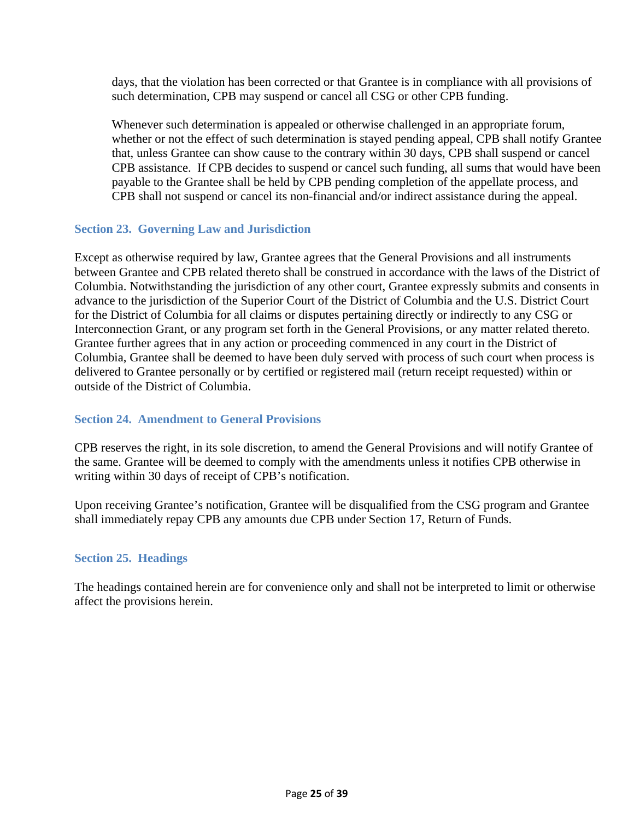days, that the violation has been corrected or that Grantee is in compliance with all provisions of such determination, CPB may suspend or cancel all CSG or other CPB funding.

Whenever such determination is appealed or otherwise challenged in an appropriate forum, whether or not the effect of such determination is stayed pending appeal, CPB shall notify Grantee that, unless Grantee can show cause to the contrary within 30 days, CPB shall suspend or cancel CPB assistance. If CPB decides to suspend or cancel such funding, all sums that would have been payable to the Grantee shall be held by CPB pending completion of the appellate process, and CPB shall not suspend or cancel its non-financial and/or indirect assistance during the appeal.

### **Section 23. Governing Law and Jurisdiction**

Except as otherwise required by law, Grantee agrees that the General Provisions and all instruments between Grantee and CPB related thereto shall be construed in accordance with the laws of the District of Columbia. Notwithstanding the jurisdiction of any other court, Grantee expressly submits and consents in advance to the jurisdiction of the Superior Court of the District of Columbia and the U.S. District Court for the District of Columbia for all claims or disputes pertaining directly or indirectly to any CSG or Interconnection Grant, or any program set forth in the General Provisions, or any matter related thereto. Grantee further agrees that in any action or proceeding commenced in any court in the District of Columbia, Grantee shall be deemed to have been duly served with process of such court when process is delivered to Grantee personally or by certified or registered mail (return receipt requested) within or outside of the District of Columbia.

#### **Section 24. Amendment to General Provisions**

CPB reserves the right, in its sole discretion, to amend the General Provisions and will notify Grantee of the same. Grantee will be deemed to comply with the amendments unless it notifies CPB otherwise in writing within 30 days of receipt of CPB's notification.

Upon receiving Grantee's notification, Grantee will be disqualified from the CSG program and Grantee shall immediately repay CPB any amounts due CPB under Section 17, Return of Funds.

#### **Section 25. Headings**

The headings contained herein are for convenience only and shall not be interpreted to limit or otherwise affect the provisions herein.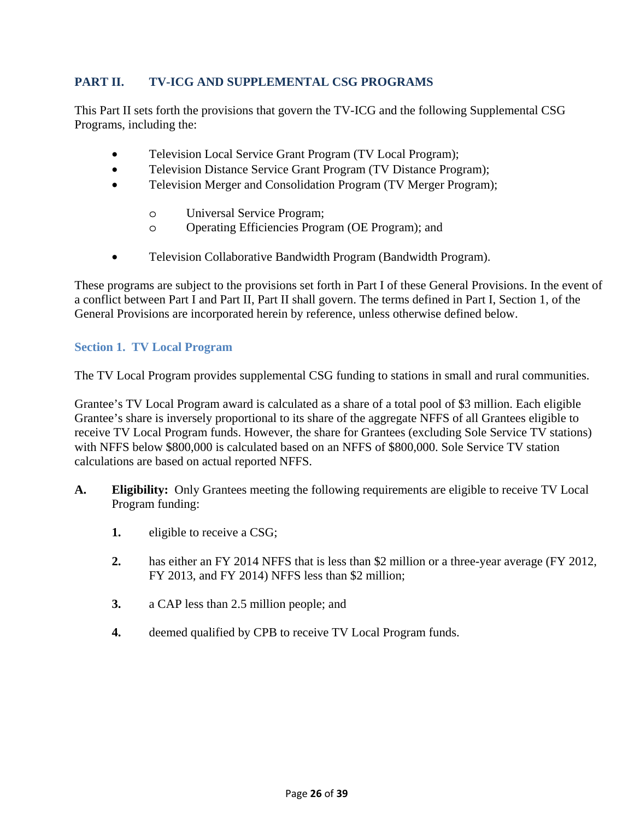# **PART II. TV-ICG AND SUPPLEMENTAL CSG PROGRAMS**

This Part II sets forth the provisions that govern the TV-ICG and the following Supplemental CSG Programs, including the:

- Television Local Service Grant Program (TV Local Program);
- Television Distance Service Grant Program (TV Distance Program);
- Television Merger and Consolidation Program (TV Merger Program);
	- o Universal Service Program;
	- o Operating Efficiencies Program (OE Program); and
- Television Collaborative Bandwidth Program (Bandwidth Program).

These programs are subject to the provisions set forth in Part I of these General Provisions. In the event of a conflict between Part I and Part II, Part II shall govern. The terms defined in Part I, Section 1, of the General Provisions are incorporated herein by reference, unless otherwise defined below.

# **Section 1. TV Local Program**

The TV Local Program provides supplemental CSG funding to stations in small and rural communities.

Grantee's TV Local Program award is calculated as a share of a total pool of \$3 million. Each eligible Grantee's share is inversely proportional to its share of the aggregate NFFS of all Grantees eligible to receive TV Local Program funds. However, the share for Grantees (excluding Sole Service TV stations) with NFFS below \$800,000 is calculated based on an NFFS of \$800,000. Sole Service TV station calculations are based on actual reported NFFS.

- **A. Eligibility:** Only Grantees meeting the following requirements are eligible to receive TV Local Program funding:
	- **1.** eligible to receive a CSG;
	- **2.** has either an FY 2014 NFFS that is less than \$2 million or a three-year average (FY 2012, FY 2013, and FY 2014) NFFS less than \$2 million;
	- **3.** a CAP less than 2.5 million people; and
	- **4.** deemed qualified by CPB to receive TV Local Program funds.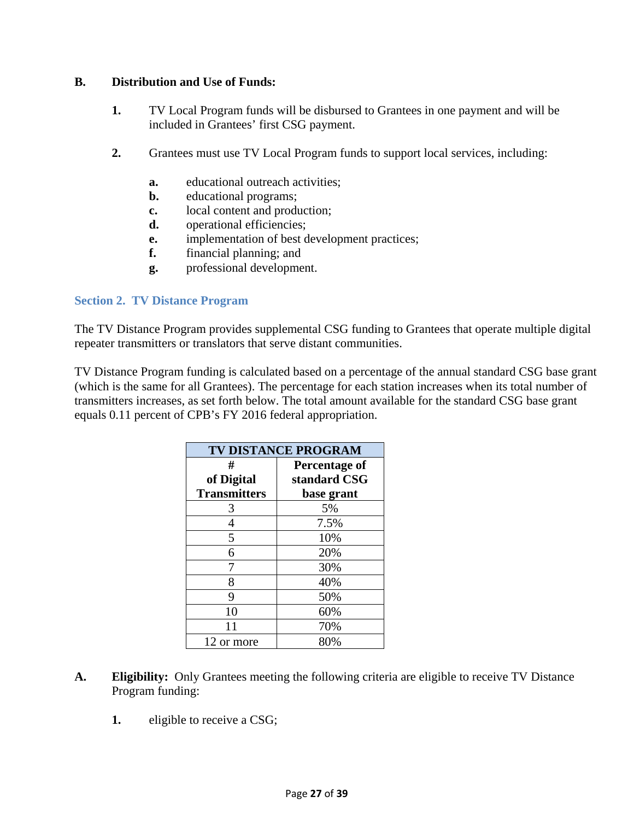### **B. Distribution and Use of Funds:**

- **1.** TV Local Program funds will be disbursed to Grantees in one payment and will be included in Grantees' first CSG payment.
- **2.** Grantees must use TV Local Program funds to support local services, including:
	- **a.** educational outreach activities;
	- **b.** educational programs;
	- **c.** local content and production;
	- **d.** operational efficiencies;
	- **e.** implementation of best development practices;
	- **f.** financial planning; and
	- **g.** professional development.

### **Section 2. TV Distance Program**

The TV Distance Program provides supplemental CSG funding to Grantees that operate multiple digital repeater transmitters or translators that serve distant communities.

TV Distance Program funding is calculated based on a percentage of the annual standard CSG base grant (which is the same for all Grantees). The percentage for each station increases when its total number of transmitters increases, as set forth below. The total amount available for the standard CSG base grant equals 0.11 percent of CPB's FY 2016 federal appropriation.

| <b>TV DISTANCE PROGRAM</b> |                      |  |  |
|----------------------------|----------------------|--|--|
| #                          | <b>Percentage of</b> |  |  |
| of Digital                 | standard CSG         |  |  |
| <b>Transmitters</b>        | base grant           |  |  |
| 3                          | 5%                   |  |  |
| 4                          | 7.5%                 |  |  |
| 5                          | 10%                  |  |  |
| 6                          | 20%                  |  |  |
| 7                          | 30%                  |  |  |
| 8                          | 40%                  |  |  |
| 9                          | 50%                  |  |  |
| 10                         | 60%                  |  |  |
| 11                         | 70%                  |  |  |
| 12 or more                 | 80%                  |  |  |

- **A. Eligibility:** Only Grantees meeting the following criteria are eligible to receive TV Distance Program funding:
	- **1.** eligible to receive a CSG;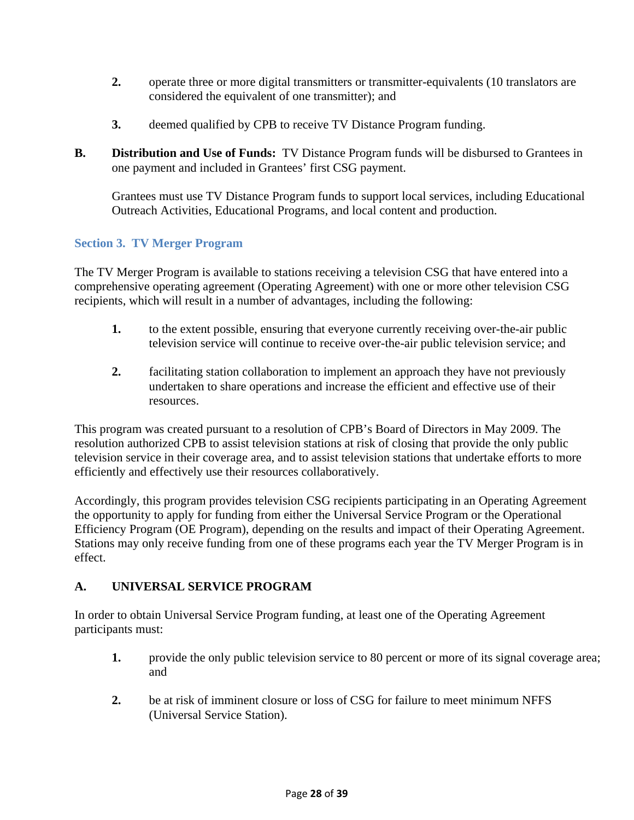- 2. operate three or more digital transmitters or transmitter-equivalents (10 translators are considered the equivalent of one transmitter); and
- **3.** deemed qualified by CPB to receive TV Distance Program funding.
- **B. Distribution and Use of Funds:** TV Distance Program funds will be disbursed to Grantees in one payment and included in Grantees' first CSG payment.

Grantees must use TV Distance Program funds to support local services, including Educational Outreach Activities, Educational Programs, and local content and production.

### **Section 3. TV Merger Program**

The TV Merger Program is available to stations receiving a television CSG that have entered into a comprehensive operating agreement (Operating Agreement) with one or more other television CSG recipients, which will result in a number of advantages, including the following:

- **1.** to the extent possible, ensuring that everyone currently receiving over-the-air public television service will continue to receive over-the-air public television service; and
- **2.** facilitating station collaboration to implement an approach they have not previously undertaken to share operations and increase the efficient and effective use of their resources.

This program was created pursuant to a resolution of CPB's Board of Directors in May 2009. The resolution authorized CPB to assist television stations at risk of closing that provide the only public television service in their coverage area, and to assist television stations that undertake efforts to more efficiently and effectively use their resources collaboratively.

Accordingly, this program provides television CSG recipients participating in an Operating Agreement the opportunity to apply for funding from either the Universal Service Program or the Operational Efficiency Program (OE Program), depending on the results and impact of their Operating Agreement. Stations may only receive funding from one of these programs each year the TV Merger Program is in effect.

# **A. UNIVERSAL SERVICE PROGRAM**

In order to obtain Universal Service Program funding, at least one of the Operating Agreement participants must:

- **1.** provide the only public television service to 80 percent or more of its signal coverage area; and
- **2.** be at risk of imminent closure or loss of CSG for failure to meet minimum NFFS (Universal Service Station).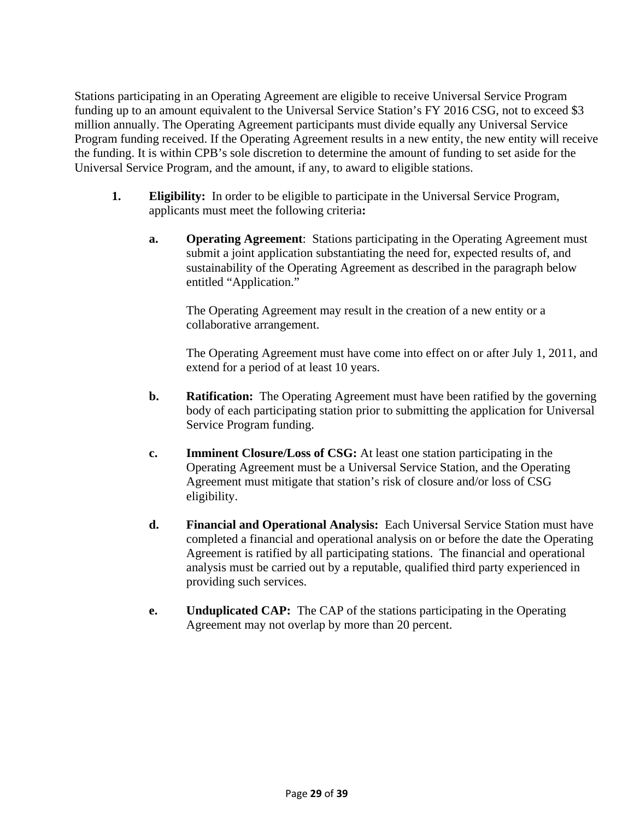Stations participating in an Operating Agreement are eligible to receive Universal Service Program funding up to an amount equivalent to the Universal Service Station's FY 2016 CSG, not to exceed \$3 million annually. The Operating Agreement participants must divide equally any Universal Service Program funding received. If the Operating Agreement results in a new entity, the new entity will receive the funding. It is within CPB's sole discretion to determine the amount of funding to set aside for the Universal Service Program, and the amount, if any, to award to eligible stations.

- **1. Eligibility:** In order to be eligible to participate in the Universal Service Program, applicants must meet the following criteria**:**
	- **a. Operating Agreement**: Stations participating in the Operating Agreement must submit a joint application substantiating the need for, expected results of, and sustainability of the Operating Agreement as described in the paragraph below entitled "Application."

The Operating Agreement may result in the creation of a new entity or a collaborative arrangement.

The Operating Agreement must have come into effect on or after July 1, 2011, and extend for a period of at least 10 years.

- **b. Ratification:** The Operating Agreement must have been ratified by the governing body of each participating station prior to submitting the application for Universal Service Program funding.
- **c. Imminent Closure/Loss of CSG:** At least one station participating in the Operating Agreement must be a Universal Service Station, and the Operating Agreement must mitigate that station's risk of closure and/or loss of CSG eligibility.
- **d. Financial and Operational Analysis:** Each Universal Service Station must have completed a financial and operational analysis on or before the date the Operating Agreement is ratified by all participating stations. The financial and operational analysis must be carried out by a reputable, qualified third party experienced in providing such services.
- **e. Unduplicated CAP:** The CAP of the stations participating in the Operating Agreement may not overlap by more than 20 percent.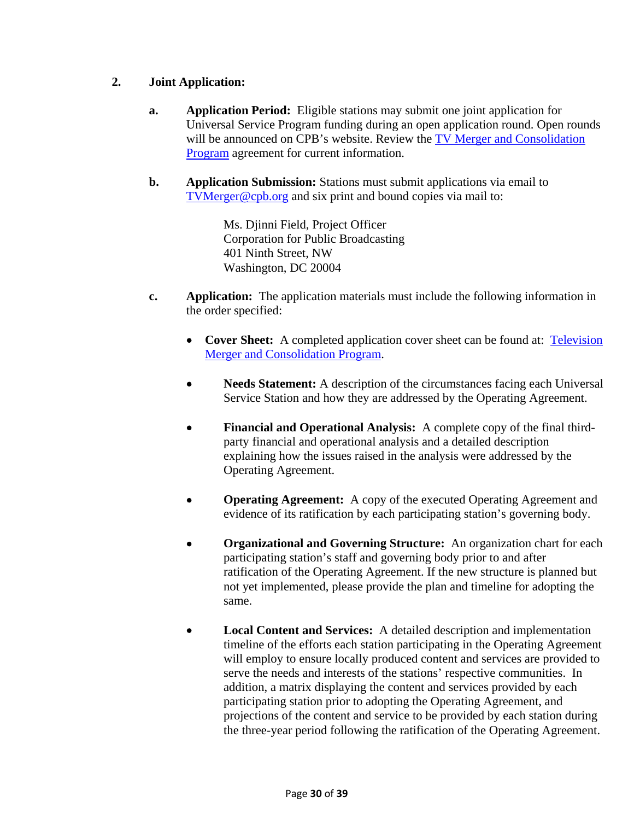# **2. Joint Application:**

- **a. Application Period:** Eligible stations may submit one joint application for Universal Service Program funding during an open application round. Open rounds will be announced on CPB's website. Review the TV Merger and Consolidation Program agreement for current information.
- **b. Application Submission:** Stations must submit applications via email to TVMerger@cpb.org and six print and bound copies via mail to:

Ms. Djinni Field, Project Officer Corporation for Public Broadcasting 401 Ninth Street, NW Washington, DC 20004

- **c. Application:** The application materials must include the following information in the order specified:
	- **Cover Sheet:** A completed application cover sheet can be found at: Television Merger and Consolidation Program.
	- **Needs Statement:** A description of the circumstances facing each Universal Service Station and how they are addressed by the Operating Agreement.
	- **Financial and Operational Analysis:** A complete copy of the final thirdparty financial and operational analysis and a detailed description explaining how the issues raised in the analysis were addressed by the Operating Agreement.
	- **Operating Agreement:** A copy of the executed Operating Agreement and evidence of its ratification by each participating station's governing body.
	- **Organizational and Governing Structure:** An organization chart for each participating station's staff and governing body prior to and after ratification of the Operating Agreement. If the new structure is planned but not yet implemented, please provide the plan and timeline for adopting the same.
	- **Local Content and Services:** A detailed description and implementation timeline of the efforts each station participating in the Operating Agreement will employ to ensure locally produced content and services are provided to serve the needs and interests of the stations' respective communities. In addition, a matrix displaying the content and services provided by each participating station prior to adopting the Operating Agreement, and projections of the content and service to be provided by each station during the three-year period following the ratification of the Operating Agreement.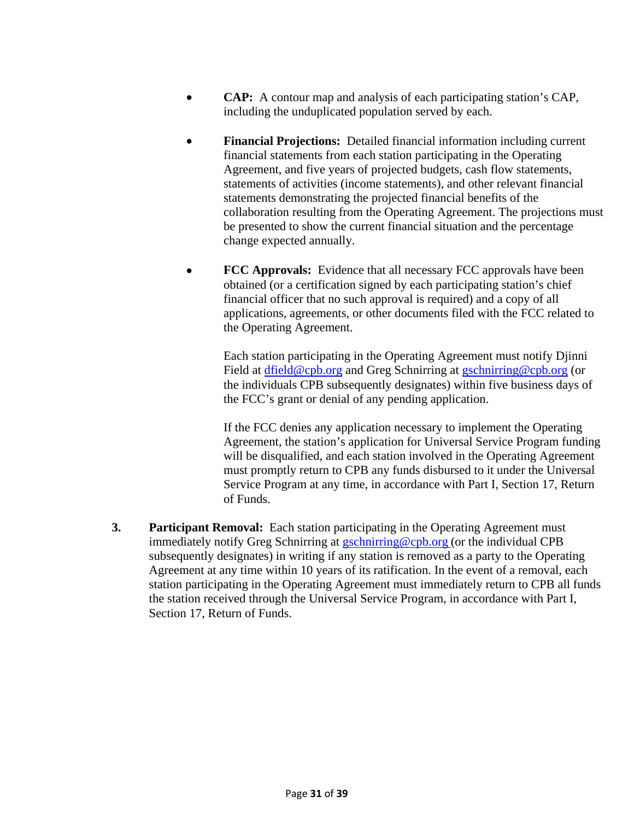- **CAP:** A contour map and analysis of each participating station's CAP, including the unduplicated population served by each.
- **Financial Projections:** Detailed financial information including current financial statements from each station participating in the Operating Agreement, and five years of projected budgets, cash flow statements, statements of activities (income statements), and other relevant financial statements demonstrating the projected financial benefits of the collaboration resulting from the Operating Agreement. The projections must be presented to show the current financial situation and the percentage change expected annually.
- **FCC Approvals:** Evidence that all necessary FCC approvals have been obtained (or a certification signed by each participating station's chief financial officer that no such approval is required) and a copy of all applications, agreements, or other documents filed with the FCC related to the Operating Agreement.

 Each station participating in the Operating Agreement must notify Djinni Field at dfield@cpb.org and Greg Schnirring at gschnirring@cpb.org (or the individuals CPB subsequently designates) within five business days of the FCC's grant or denial of any pending application.

 If the FCC denies any application necessary to implement the Operating Agreement, the station's application for Universal Service Program funding will be disqualified, and each station involved in the Operating Agreement must promptly return to CPB any funds disbursed to it under the Universal Service Program at any time, in accordance with Part I, Section 17, Return of Funds.

**3. Participant Removal:** Each station participating in the Operating Agreement must immediately notify Greg Schnirring at gschnirring@cpb.org (or the individual CPB subsequently designates) in writing if any station is removed as a party to the Operating Agreement at any time within 10 years of its ratification. In the event of a removal, each station participating in the Operating Agreement must immediately return to CPB all funds the station received through the Universal Service Program, in accordance with Part I, Section 17, Return of Funds.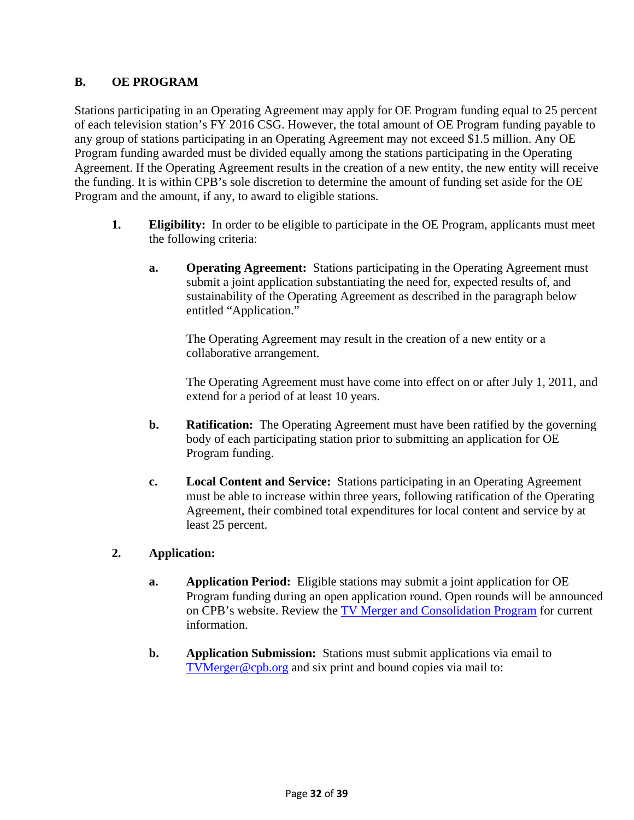# **B. OE PROGRAM**

Stations participating in an Operating Agreement may apply for OE Program funding equal to 25 percent of each television station's FY 2016 CSG. However, the total amount of OE Program funding payable to any group of stations participating in an Operating Agreement may not exceed \$1.5 million. Any OE Program funding awarded must be divided equally among the stations participating in the Operating Agreement. If the Operating Agreement results in the creation of a new entity, the new entity will receive the funding. It is within CPB's sole discretion to determine the amount of funding set aside for the OE Program and the amount, if any, to award to eligible stations.

- **1. Eligibility:** In order to be eligible to participate in the OE Program, applicants must meet the following criteria:
	- **a. Operating Agreement:** Stations participating in the Operating Agreement must submit a joint application substantiating the need for, expected results of, and sustainability of the Operating Agreement as described in the paragraph below entitled "Application."

The Operating Agreement may result in the creation of a new entity or a collaborative arrangement.

The Operating Agreement must have come into effect on or after July 1, 2011, and extend for a period of at least 10 years.

- **b. Ratification:** The Operating Agreement must have been ratified by the governing body of each participating station prior to submitting an application for OE Program funding.
- **c. Local Content and Service:** Stations participating in an Operating Agreement must be able to increase within three years, following ratification of the Operating Agreement, their combined total expenditures for local content and service by at least 25 percent.

# **2. Application:**

- **a. Application Period:** Eligible stations may submit a joint application for OE Program funding during an open application round. Open rounds will be announced on CPB's website. Review the TV Merger and Consolidation Program for current information.
- **b. Application Submission:** Stations must submit applications via email to TVMerger@cpb.org and six print and bound copies via mail to: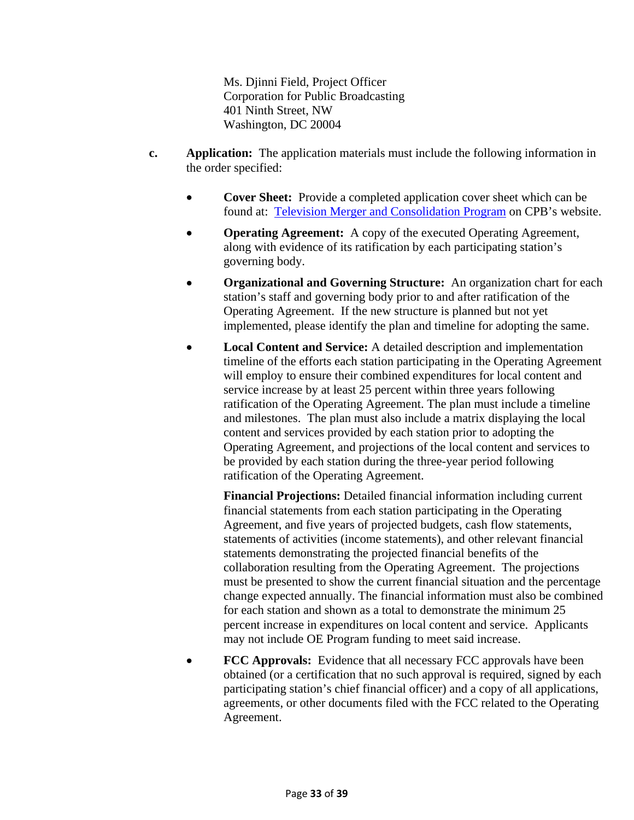Ms. Djinni Field, Project Officer Corporation for Public Broadcasting 401 Ninth Street, NW Washington, DC 20004

- **c. Application:** The application materials must include the following information in the order specified:
	- **Cover Sheet:** Provide a completed application cover sheet which can be found at: Television Merger and Consolidation Program on CPB's website.
	- **Operating Agreement:** A copy of the executed Operating Agreement, along with evidence of its ratification by each participating station's governing body.
	- **Organizational and Governing Structure:** An organization chart for each station's staff and governing body prior to and after ratification of the Operating Agreement. If the new structure is planned but not yet implemented, please identify the plan and timeline for adopting the same.
	- **Local Content and Service:** A detailed description and implementation timeline of the efforts each station participating in the Operating Agreement will employ to ensure their combined expenditures for local content and service increase by at least 25 percent within three years following ratification of the Operating Agreement. The plan must include a timeline and milestones. The plan must also include a matrix displaying the local content and services provided by each station prior to adopting the Operating Agreement, and projections of the local content and services to be provided by each station during the three-year period following ratification of the Operating Agreement.

**Financial Projections:** Detailed financial information including current financial statements from each station participating in the Operating Agreement, and five years of projected budgets, cash flow statements, statements of activities (income statements), and other relevant financial statements demonstrating the projected financial benefits of the collaboration resulting from the Operating Agreement. The projections must be presented to show the current financial situation and the percentage change expected annually. The financial information must also be combined for each station and shown as a total to demonstrate the minimum 25 percent increase in expenditures on local content and service. Applicants may not include OE Program funding to meet said increase.

• **FCC Approvals:** Evidence that all necessary FCC approvals have been obtained (or a certification that no such approval is required, signed by each participating station's chief financial officer) and a copy of all applications, agreements, or other documents filed with the FCC related to the Operating Agreement.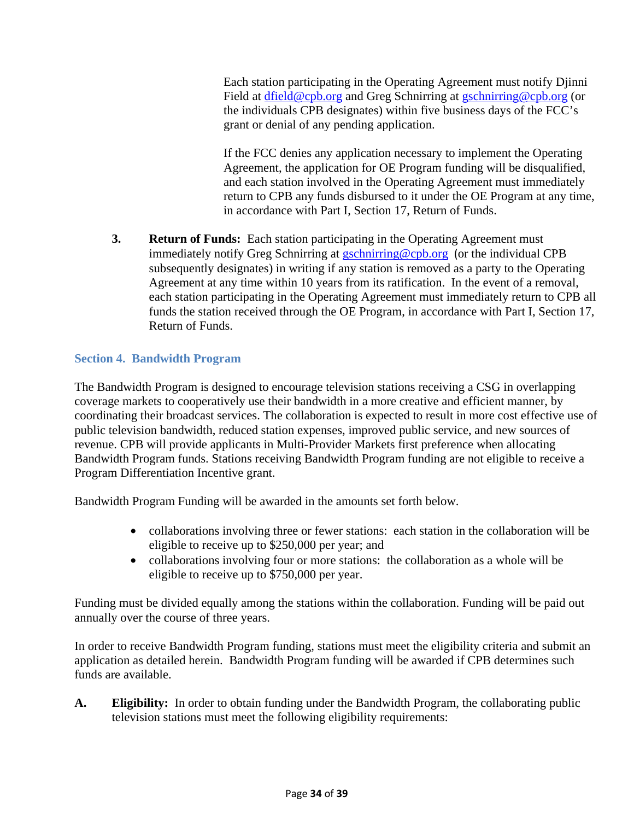Each station participating in the Operating Agreement must notify Djinni Field at dfield@cpb.org and Greg Schnirring at gschnirring@cpb.org (or the individuals CPB designates) within five business days of the FCC's grant or denial of any pending application.

If the FCC denies any application necessary to implement the Operating Agreement, the application for OE Program funding will be disqualified, and each station involved in the Operating Agreement must immediately return to CPB any funds disbursed to it under the OE Program at any time, in accordance with Part I, Section 17, Return of Funds.

**3. Return of Funds:** Each station participating in the Operating Agreement must immediately notify Greg Schnirring at **gschnirring@cpb.org** (or the individual CPB subsequently designates) in writing if any station is removed as a party to the Operating Agreement at any time within 10 years from its ratification. In the event of a removal, each station participating in the Operating Agreement must immediately return to CPB all funds the station received through the OE Program, in accordance with Part I, Section 17, Return of Funds.

# **Section 4. Bandwidth Program**

The Bandwidth Program is designed to encourage television stations receiving a CSG in overlapping coverage markets to cooperatively use their bandwidth in a more creative and efficient manner, by coordinating their broadcast services. The collaboration is expected to result in more cost effective use of public television bandwidth, reduced station expenses, improved public service, and new sources of revenue. CPB will provide applicants in Multi-Provider Markets first preference when allocating Bandwidth Program funds. Stations receiving Bandwidth Program funding are not eligible to receive a Program Differentiation Incentive grant.

Bandwidth Program Funding will be awarded in the amounts set forth below.

- collaborations involving three or fewer stations: each station in the collaboration will be eligible to receive up to \$250,000 per year; and
- collaborations involving four or more stations: the collaboration as a whole will be eligible to receive up to \$750,000 per year.

Funding must be divided equally among the stations within the collaboration. Funding will be paid out annually over the course of three years.

In order to receive Bandwidth Program funding, stations must meet the eligibility criteria and submit an application as detailed herein. Bandwidth Program funding will be awarded if CPB determines such funds are available.

**A. Eligibility:** In order to obtain funding under the Bandwidth Program, the collaborating public television stations must meet the following eligibility requirements: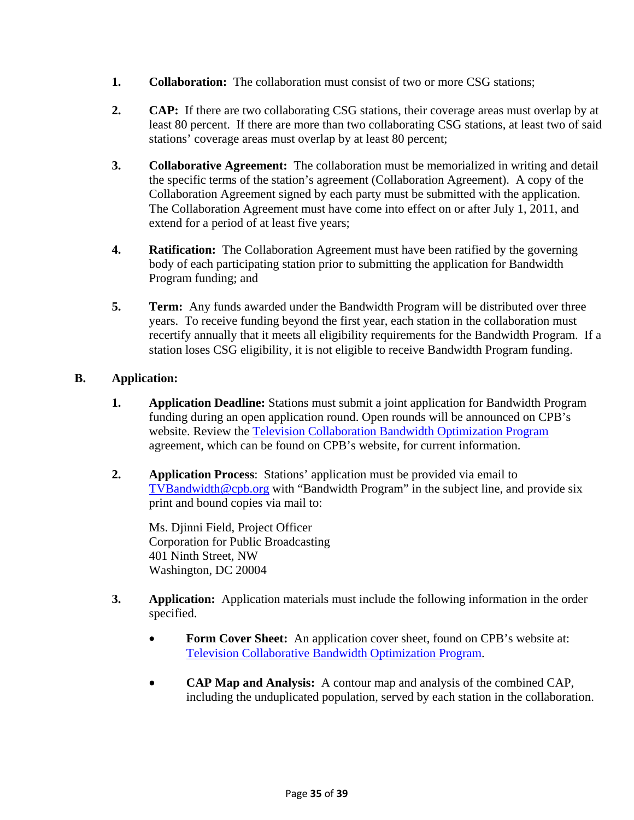- **1. Collaboration:** The collaboration must consist of two or more CSG stations;
- **2. CAP:** If there are two collaborating CSG stations, their coverage areas must overlap by at least 80 percent. If there are more than two collaborating CSG stations, at least two of said stations' coverage areas must overlap by at least 80 percent;
- **3. Collaborative Agreement:** The collaboration must be memorialized in writing and detail the specific terms of the station's agreement (Collaboration Agreement). A copy of the Collaboration Agreement signed by each party must be submitted with the application. The Collaboration Agreement must have come into effect on or after July 1, 2011, and extend for a period of at least five years;
- **4. Ratification:** The Collaboration Agreement must have been ratified by the governing body of each participating station prior to submitting the application for Bandwidth Program funding; and
- **5. Term:** Any funds awarded under the Bandwidth Program will be distributed over three years. To receive funding beyond the first year, each station in the collaboration must recertify annually that it meets all eligibility requirements for the Bandwidth Program. If a station loses CSG eligibility, it is not eligible to receive Bandwidth Program funding.

# **B. Application:**

- **1. Application Deadline:** Stations must submit a joint application for Bandwidth Program funding during an open application round. Open rounds will be announced on CPB's website. Review the Television Collaboration Bandwidth Optimization Program agreement, which can be found on CPB's website, for current information.
- **2. Application Process**: Stations' application must be provided via email to TVBandwidth@cpb.org with "Bandwidth Program" in the subject line, and provide six print and bound copies via mail to:

Ms. Djinni Field, Project Officer Corporation for Public Broadcasting 401 Ninth Street, NW Washington, DC 20004

- **3. Application:** Application materials must include the following information in the order specified.
	- **Form Cover Sheet:** An application cover sheet, found on CPB's website at: Television Collaborative Bandwidth Optimization Program.
	- **CAP Map and Analysis:** A contour map and analysis of the combined CAP, including the unduplicated population, served by each station in the collaboration.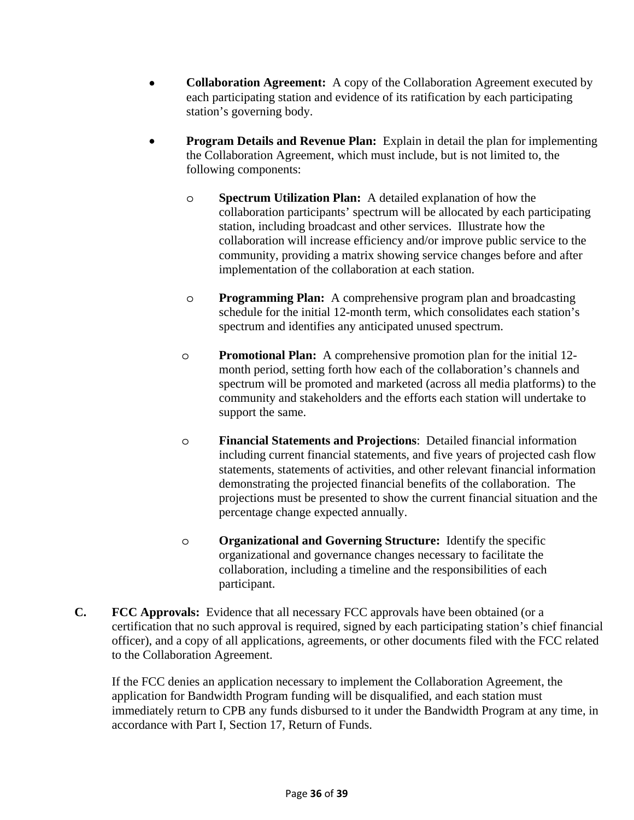- **Collaboration Agreement:** A copy of the Collaboration Agreement executed by each participating station and evidence of its ratification by each participating station's governing body.
- **Program Details and Revenue Plan:** Explain in detail the plan for implementing the Collaboration Agreement, which must include, but is not limited to, the following components:
	- o **Spectrum Utilization Plan:** A detailed explanation of how the collaboration participants' spectrum will be allocated by each participating station, including broadcast and other services. Illustrate how the collaboration will increase efficiency and/or improve public service to the community, providing a matrix showing service changes before and after implementation of the collaboration at each station.
	- o **Programming Plan:** A comprehensive program plan and broadcasting schedule for the initial 12-month term, which consolidates each station's spectrum and identifies any anticipated unused spectrum.
	- o **Promotional Plan:** A comprehensive promotion plan for the initial 12 month period, setting forth how each of the collaboration's channels and spectrum will be promoted and marketed (across all media platforms) to the community and stakeholders and the efforts each station will undertake to support the same.
	- o **Financial Statements and Projections**: Detailed financial information including current financial statements, and five years of projected cash flow statements, statements of activities, and other relevant financial information demonstrating the projected financial benefits of the collaboration. The projections must be presented to show the current financial situation and the percentage change expected annually.
	- o **Organizational and Governing Structure:** Identify the specific organizational and governance changes necessary to facilitate the collaboration, including a timeline and the responsibilities of each participant.
- **C. FCC Approvals:** Evidence that all necessary FCC approvals have been obtained (or a certification that no such approval is required, signed by each participating station's chief financial officer), and a copy of all applications, agreements, or other documents filed with the FCC related to the Collaboration Agreement.

If the FCC denies an application necessary to implement the Collaboration Agreement, the application for Bandwidth Program funding will be disqualified, and each station must immediately return to CPB any funds disbursed to it under the Bandwidth Program at any time, in accordance with Part I, Section 17, Return of Funds.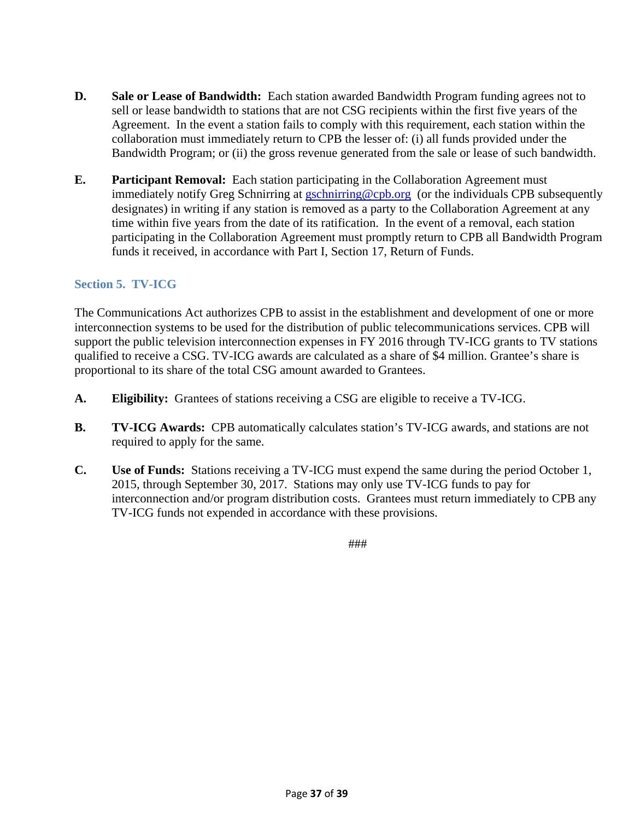- **D. Sale or Lease of Bandwidth:** Each station awarded Bandwidth Program funding agrees not to sell or lease bandwidth to stations that are not CSG recipients within the first five years of the Agreement. In the event a station fails to comply with this requirement, each station within the collaboration must immediately return to CPB the lesser of: (i) all funds provided under the Bandwidth Program; or (ii) the gross revenue generated from the sale or lease of such bandwidth.
- **E. Participant Removal:** Each station participating in the Collaboration Agreement must immediately notify Greg Schnirring at gschnirring@cpb.org (or the individuals CPB subsequently designates) in writing if any station is removed as a party to the Collaboration Agreement at any time within five years from the date of its ratification. In the event of a removal, each station participating in the Collaboration Agreement must promptly return to CPB all Bandwidth Program funds it received, in accordance with Part I, Section 17, Return of Funds.

# **Section 5. TV-ICG**

The Communications Act authorizes CPB to assist in the establishment and development of one or more interconnection systems to be used for the distribution of public telecommunications services. CPB will support the public television interconnection expenses in FY 2016 through TV-ICG grants to TV stations qualified to receive a CSG. TV-ICG awards are calculated as a share of \$4 million. Grantee's share is proportional to its share of the total CSG amount awarded to Grantees.

- **A. Eligibility:** Grantees of stations receiving a CSG are eligible to receive a TV-ICG.
- **B. TV-ICG Awards:** CPB automatically calculates station's TV-ICG awards, and stations are not required to apply for the same.
- **C. Use of Funds:** Stations receiving a TV-ICG must expend the same during the period October 1, 2015, through September 30, 2017. Stations may only use TV-ICG funds to pay for interconnection and/or program distribution costs. Grantees must return immediately to CPB any TV-ICG funds not expended in accordance with these provisions.

###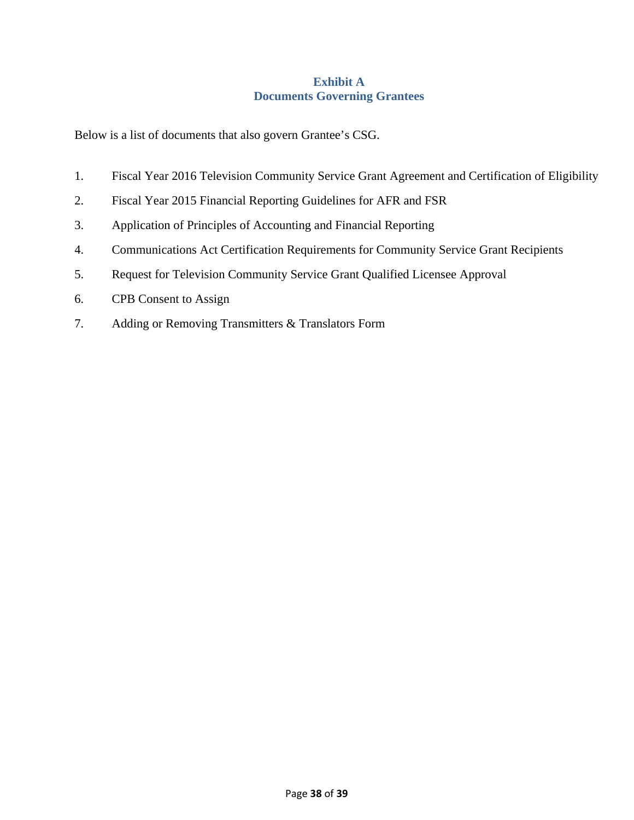# **Exhibit A Documents Governing Grantees**

Below is a list of documents that also govern Grantee's CSG.

- 1. Fiscal Year 2016 Television Community Service Grant Agreement and Certification of Eligibility
- 2. Fiscal Year 2015 Financial Reporting Guidelines for AFR and FSR
- 3. Application of Principles of Accounting and Financial Reporting
- 4. Communications Act Certification Requirements for Community Service Grant Recipients
- 5. Request for Television Community Service Grant Qualified Licensee Approval
- 6. CPB Consent to Assign
- 7. Adding or Removing Transmitters & Translators Form